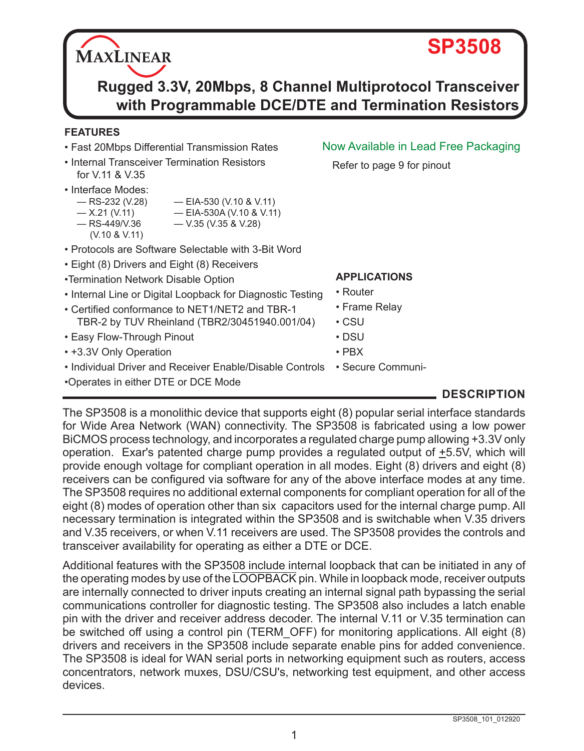**Rugged 3.3V, 20Mbps, 8 Channel Multiprotocol Transceiver with Programmable DCE/DTE and Termination Resistors**

#### **FEATURES**

- Fast 20Mbps Differential Transmission Rates
- Internal Transceiver Termination Resistors for V.11 & V.35
- Interface Modes:
	- RS-232 (V.28) EIA-530 (V.10 & V.11)
	- $-$  X.21 (V.11)  $-$  EIA-530A (V.10 & V.11)<br>  $-$  RS-449/V.36  $-$  V.35 (V.35 & V.28)
	- $-$  V.35 (V.35 & V.28) (V.10 & V.11)
- Protocols are Software Selectable with 3-Bit Word
- Eight (8) Drivers and Eight (8) Receivers
- •Termination Network Disable Option
- Internal Line or Digital Loopback for Diagnostic Testing • Router
- Certified conformance to NET1/NET2 and TBR-1 TBR-2 by TUV Rheinland (TBR2/30451940.001/04)
- Easy Flow-Through Pinout
- +3.3V Only Operation
- Individual Driver and Receiver Enable/Disable Controls Secure Communi-
- •Operates in either DTE or DCE Mode

# Now Available in Lead Free Packaging

Refer to page 9 for pinout

• PBX

• CSU • DSU

**APPLICATIONS**

• Frame Relay

# **DESCRIPTION**

The SP3508 is a monolithic device that supports eight (8) popular serial interface standards for Wide Area Network (WAN) connectivity. The SP3508 is fabricated using a low power BiCMOS process technology, and incorporates a regulated charge pump allowing +3.3V only operation. Exar's patented charge pump provides a regulated output of  $\pm$ 5.5V, which will provide enough voltage for compliant operation in all modes. Eight (8) drivers and eight (8) receivers can be configured via software for any of the above interface modes at any time. The SP3508 requires no additional external components for compliant operation for all of the eight (8) modes of operation other than six capacitors used for the internal charge pump. All necessary termination is integrated within the SP3508 and is switchable when V.35 drivers and V.35 receivers, or when V.11 receivers are used. The SP3508 provides the controls and transceiver availability for operating as either a DTE or DCE.

Additional features with the SP3508 include internal loopback that can be initiated in any of the operating modes by use of the LOOPBACK pin. While in loopback mode, receiver outputs are internally connected to driver inputs creating an internal signal path bypassing the serial communications controller for diagnostic testing. The SP3508 also includes a latch enable pin with the driver and receiver address decoder. The internal V.11 or V.35 termination can be switched off using a control pin (TERM OFF) for monitoring applications. All eight (8) drivers and receivers in the SP3508 include separate enable pins for added convenience. The SP3508 is ideal for WAN serial ports in networking equipment such as routers, access concentrators, network muxes, DSU/CSU's, networking test equipment, and other access devices.

# **SP3508**

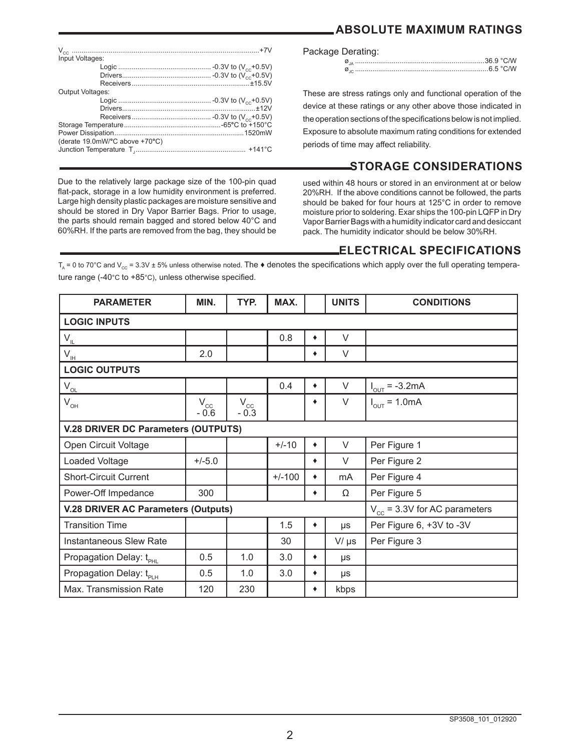|  | ABSOLUTE MAXIMUM RATINGS |  |
|--|--------------------------|--|
|--|--------------------------|--|

| Input Voltages:                |  |
|--------------------------------|--|
|                                |  |
|                                |  |
|                                |  |
| Output Voltages:               |  |
|                                |  |
|                                |  |
|                                |  |
|                                |  |
|                                |  |
| (derate 19.0mW/°C above +70°C) |  |
|                                |  |
|                                |  |
|                                |  |

Due to the relatively large package size of the 100-pin quad flat-pack, storage in a low humidity environment is preferred. Large high density plastic packages are moisture sensitive and should be stored in Dry Vapor Barrier Bags. Prior to usage, the parts should remain bagged and stored below 40°C and 60%RH. If the parts are removed from the bag, they should be

#### Package Derating:

These are stress ratings only and functional operation of the device at these ratings or any other above those indicated in the operation sections of the specifications below is not implied. Exposure to absolute maximum rating conditions for extended periods of time may affect reliability.

# **STORAGE CONSIDERATIONS**

used within 48 hours or stored in an environment at or below 20%RH. If the above conditions cannot be followed, the parts should be baked for four hours at 125°C in order to remove moisture prior to soldering. Exar ships the 100-pin LQFP in Dry Vapor Barrier Bags with a humidity indicator card and desiccant pack. The humidity indicator should be below 30%RH.

#### **ELECTRICAL SPECIFICATIONS**

 $T_a = 0$  to 70°C and  $V_{\text{co}} = 3.3V \pm 5%$  unless otherwise noted. The  $\bullet$  denotes the specifications which apply over the full operating temperature range (-40°C to +85°C), unless otherwise specified.

| <b>PARAMETER</b>                                | MIN.               | TYP.                   | MAX.     |   | <b>UNITS</b> | <b>CONDITIONS</b>                 |
|-------------------------------------------------|--------------------|------------------------|----------|---|--------------|-----------------------------------|
| <b>LOGIC INPUTS</b>                             |                    |                        |          |   |              |                                   |
| $\mathsf{V}_{\underline{\mathsf{IL}}}$          |                    |                        | 0.8      |   | $\vee$       |                                   |
| $\mathsf{V}_{\underline{\mathsf{I}\mathsf{H}}}$ | 2.0                |                        |          | ٠ | $\vee$       |                                   |
| <b>LOGIC OUTPUTS</b>                            |                    |                        |          |   |              |                                   |
| $\mathsf{V}_{\underline{\mathsf{OL}}}$          |                    |                        | 0.4      | ٠ | $\vee$       | $I_{\text{OUT}} = -3.2 \text{mA}$ |
| $V_{OH}$                                        | $V_{cc}$<br>$-0.6$ | $\rm V_{cc}$<br>$-0.3$ |          | ٠ | $\vee$       | $I_{\text{OUT}} = 1.0 \text{mA}$  |
| V.28 DRIVER DC Parameters (OUTPUTS)             |                    |                        |          |   |              |                                   |
| Open Circuit Voltage                            |                    |                        | $+/-10$  | ٠ | $\vee$       | Per Figure 1                      |
| Loaded Voltage                                  | $+/-5.0$           |                        |          | ٠ | $\vee$       | Per Figure 2                      |
| <b>Short-Circuit Current</b>                    |                    |                        | $+/-100$ | ٠ | mA           | Per Figure 4                      |
| Power-Off Impedance                             | 300                |                        |          | ٠ | Ω            | Per Figure 5                      |
| <b>V.28 DRIVER AC Parameters (Outputs)</b>      |                    |                        |          |   |              | $V_{cc}$ = 3.3V for AC parameters |
| <b>Transition Time</b>                          |                    |                        | 1.5      | ٠ | μs           | Per Figure 6, +3V to -3V          |
| Instantaneous Slew Rate                         |                    |                        | 30       |   | $V/\mu s$    | Per Figure 3                      |
| Propagation Delay: t <sub>PHL</sub>             | 0.5                | 1.0                    | 3.0      | ٠ | μs           |                                   |
| Propagation Delay: tp <sub>pH</sub>             | 0.5                | 1.0                    | 3.0      | ٠ | $\mu s$      |                                   |
| Max. Transmission Rate                          | 120                | 230                    |          | ٠ | kbps         |                                   |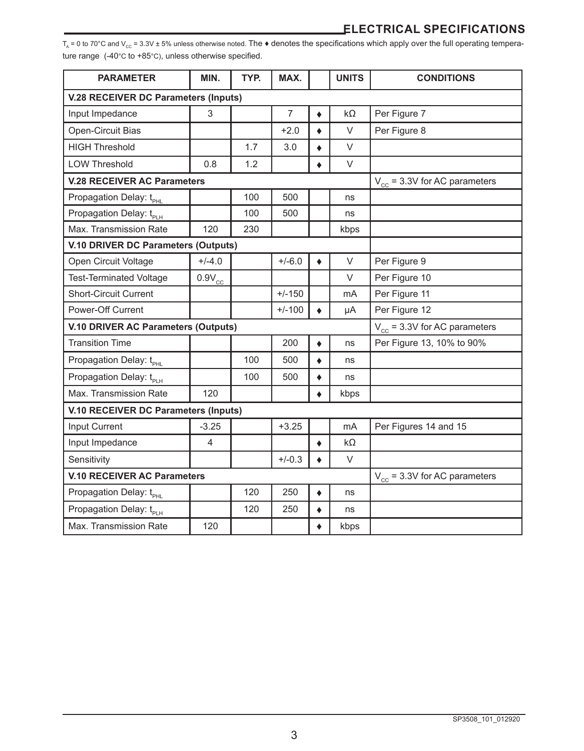T<sub>A</sub> = 0 to 70°C and V<sub>cc</sub> = 3.3V ± 5% unless otherwise noted. The  $\blacklozenge$  denotes the specifications which apply over the full operating temperature range (-40°C to +85°C), unless otherwise specified.

| <b>PARAMETER</b>                            | MIN.                              | TYP. | MAX.           |           | <b>UNITS</b> | <b>CONDITIONS</b>                 |
|---------------------------------------------|-----------------------------------|------|----------------|-----------|--------------|-----------------------------------|
| <b>V.28 RECEIVER DC Parameters (Inputs)</b> |                                   |      |                |           |              |                                   |
| Input Impedance                             | 3                                 |      | $\overline{7}$ | ٠         | $k\Omega$    | Per Figure 7                      |
| Open-Circuit Bias                           |                                   |      | $+2.0$         |           | $\vee$       | Per Figure 8                      |
| <b>HIGH Threshold</b>                       |                                   | 1.7  | 3.0            | ٠         | $\vee$       |                                   |
| <b>LOW Threshold</b>                        | 0.8                               | 1.2  |                | ٠         | $\vee$       |                                   |
| <b>V.28 RECEIVER AC Parameters</b>          |                                   |      |                |           |              | $V_{cc}$ = 3.3V for AC parameters |
| Propagation Delay: t <sub>PHI</sub>         |                                   | 100  | 500            |           | ns           |                                   |
| Propagation Delay: t <sub>PLH</sub>         |                                   | 100  | 500            |           | ns           |                                   |
| Max. Transmission Rate                      | 120                               | 230  |                |           | kbps         |                                   |
| V.10 DRIVER DC Parameters (Outputs)         |                                   |      |                |           |              |                                   |
| Open Circuit Voltage                        | $+/-4.0$                          |      | $+/-6.0$       |           | $\vee$       | Per Figure 9                      |
| <b>Test-Terminated Voltage</b>              | $0.9V_{cc}$                       |      |                |           | $\vee$       | Per Figure 10                     |
| <b>Short-Circuit Current</b>                |                                   |      | $+/-150$       |           | mA           | Per Figure 11                     |
| Power-Off Current                           |                                   |      | $+/-100$       |           | μA           | Per Figure 12                     |
| V.10 DRIVER AC Parameters (Outputs)         |                                   |      |                |           |              | $V_{cc}$ = 3.3V for AC parameters |
| <b>Transition Time</b>                      |                                   |      | 200            | ٠         | ns           | Per Figure 13, 10% to 90%         |
| Propagation Delay: t <sub>PHL</sub>         |                                   | 100  | 500            | $\bullet$ | ns           |                                   |
| Propagation Delay: tpi H                    |                                   | 100  | 500            | $\bullet$ | ns           |                                   |
| Max. Transmission Rate                      | 120                               |      |                |           | kbps         |                                   |
| V.10 RECEIVER DC Parameters (Inputs)        |                                   |      |                |           |              |                                   |
| Input Current                               | $-3.25$                           |      | $+3.25$        |           | mA           | Per Figures 14 and 15             |
| Input Impedance                             | 4                                 |      |                | ٠         | kΩ           |                                   |
| Sensitivity                                 |                                   |      | $+/-0.3$       |           | $\vee$       |                                   |
| <b>V.10 RECEIVER AC Parameters</b>          | $V_{cc}$ = 3.3V for AC parameters |      |                |           |              |                                   |
| Propagation Delay: t <sub>PHI</sub>         |                                   | 120  | 250            | ٠         | ns           |                                   |
| Propagation Delay: t <sub>PLH</sub>         |                                   | 120  | 250            |           | ns           |                                   |
| Max. Transmission Rate                      | 120                               |      |                | ٠         | kbps         |                                   |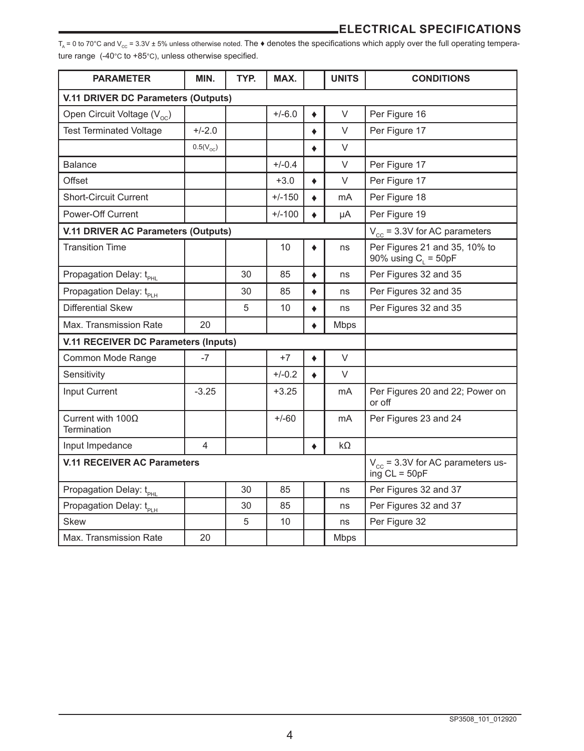T<sub>A</sub> = 0 to 70°C and V<sub>cc</sub> = 3.3V ± 5% unless otherwise noted. The  $\bullet$  denotes the specifications which apply over the full operating temperature range (-40°C to +85°C), unless otherwise specified.

| <b>PARAMETER</b>                            | MIN.                                                     | TYP. | MAX.     |           | <b>UNITS</b> | <b>CONDITIONS</b>                                       |  |  |  |
|---------------------------------------------|----------------------------------------------------------|------|----------|-----------|--------------|---------------------------------------------------------|--|--|--|
|                                             | V.11 DRIVER DC Parameters (Outputs)                      |      |          |           |              |                                                         |  |  |  |
| Open Circuit Voltage (V <sub>oc</sub> )     |                                                          |      | $+/-6.0$ | ٠         | $\vee$       | Per Figure 16                                           |  |  |  |
| <b>Test Terminated Voltage</b>              | $+/-2.0$                                                 |      |          | ٠         | V            | Per Figure 17                                           |  |  |  |
|                                             | $0.5(V_{\odot c})$                                       |      |          | ٠         | V            |                                                         |  |  |  |
| <b>Balance</b>                              |                                                          |      | $+/-0.4$ |           | $\vee$       | Per Figure 17                                           |  |  |  |
| Offset                                      |                                                          |      | $+3.0$   | ۰         | V            | Per Figure 17                                           |  |  |  |
| <b>Short-Circuit Current</b>                |                                                          |      | $+/-150$ | ٠         | mA           | Per Figure 18                                           |  |  |  |
| Power-Off Current                           |                                                          |      | $+/-100$ |           | μA           | Per Figure 19                                           |  |  |  |
| V.11 DRIVER AC Parameters (Outputs)         |                                                          |      |          |           |              | $V_{cc}$ = 3.3V for AC parameters                       |  |  |  |
| <b>Transition Time</b>                      |                                                          |      | 10       |           | ns           | Per Figures 21 and 35, 10% to<br>90% using $C_1 = 50pF$ |  |  |  |
| Propagation Delay: t <sub>PHI</sub>         |                                                          | 30   | 85       | ٠         | ns           | Per Figures 32 and 35                                   |  |  |  |
| Propagation Delay: t <sub>PLH</sub>         |                                                          | 30   | 85       | $\bullet$ | ns           | Per Figures 32 and 35                                   |  |  |  |
| <b>Differential Skew</b>                    |                                                          | 5    | 10       | ٠         | ns           | Per Figures 32 and 35                                   |  |  |  |
| Max. Transmission Rate                      | 20                                                       |      |          | ٠         | <b>Mbps</b>  |                                                         |  |  |  |
| <b>V.11 RECEIVER DC Parameters (Inputs)</b> |                                                          |      |          |           |              |                                                         |  |  |  |
| Common Mode Range                           | $-7$                                                     |      | $+7$     | ٠         | $\vee$       |                                                         |  |  |  |
| Sensitivity                                 |                                                          |      | $+/-0.2$ |           | $\vee$       |                                                         |  |  |  |
| Input Current                               | $-3.25$                                                  |      | $+3.25$  |           | mA           | Per Figures 20 and 22; Power on<br>or off               |  |  |  |
| Current with $100\Omega$<br>Termination     |                                                          |      | $+/-60$  |           | mA           | Per Figures 23 and 24                                   |  |  |  |
| Input Impedance                             | 4                                                        |      |          | ٠         | kΩ           |                                                         |  |  |  |
| <b>V.11 RECEIVER AC Parameters</b>          | $V_{cc}$ = 3.3V for AC parameters us-<br>ing $CL = 50pF$ |      |          |           |              |                                                         |  |  |  |
| Propagation Delay: t <sub>PHL</sub>         |                                                          | 30   | 85       |           | ns           | Per Figures 32 and 37                                   |  |  |  |
| Propagation Delay: t <sub>PLH</sub>         |                                                          | 30   | 85       |           | ns           | Per Figures 32 and 37                                   |  |  |  |
| <b>Skew</b>                                 |                                                          | 5    | 10       |           | ns           | Per Figure 32                                           |  |  |  |
| Max. Transmission Rate                      | 20                                                       |      |          |           | <b>Mbps</b>  |                                                         |  |  |  |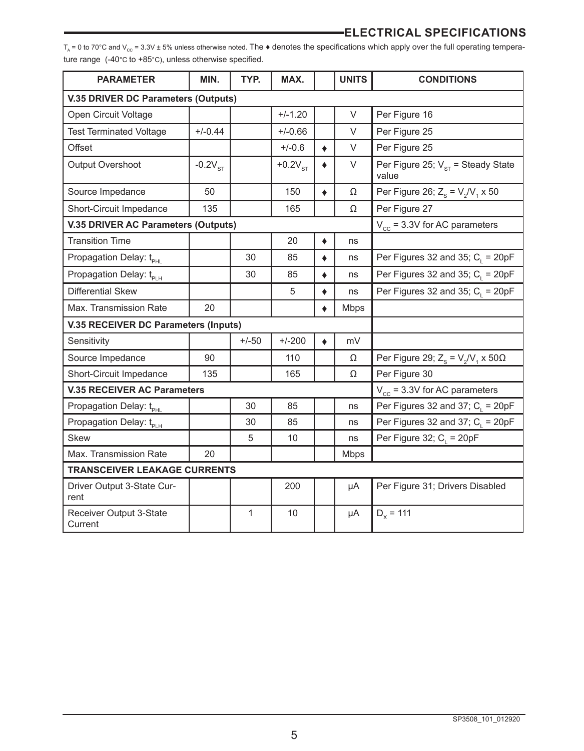$T_A = 0$  to 70°C and  $V_{cc} = 3.3V \pm 5\%$  unless otherwise noted. The  $\triangleleft$  denotes the specifications which apply over the full operating temperature range (-40°C to +85°C), unless otherwise specified.

| <b>PARAMETER</b>                     | MIN.                                       | TYP.    | MAX.      |           | <b>UNITS</b> | <b>CONDITIONS</b>                               |  |  |
|--------------------------------------|--------------------------------------------|---------|-----------|-----------|--------------|-------------------------------------------------|--|--|
|                                      | <b>V.35 DRIVER DC Parameters (Outputs)</b> |         |           |           |              |                                                 |  |  |
| Open Circuit Voltage                 |                                            |         | $+/-1.20$ |           | $\vee$       | Per Figure 16                                   |  |  |
| <b>Test Terminated Voltage</b>       | $+/-0.44$                                  |         | $+/-0.66$ |           | $\vee$       | Per Figure 25                                   |  |  |
| Offset                               |                                            |         | $+/-0.6$  | $\bullet$ | $\vee$       | Per Figure 25                                   |  |  |
| Output Overshoot                     | $-0.2VST$                                  |         | $+0.2VST$ | ٠         | V            | Per Figure 25; $V_{ST}$ = Steady State<br>value |  |  |
| Source Impedance                     | 50                                         |         | 150       | $\bullet$ | Ω            | Per Figure 26; $Z_s = V_2/V_1 \times 50$        |  |  |
| Short-Circuit Impedance              | 135                                        |         | 165       |           | Ω            | Per Figure 27                                   |  |  |
| V.35 DRIVER AC Parameters (Outputs)  |                                            |         |           |           |              | $V_{cc}$ = 3.3V for AC parameters               |  |  |
| <b>Transition Time</b>               |                                            |         | 20        | ٠         | ns           |                                                 |  |  |
| Propagation Delay: t <sub>PHL</sub>  |                                            | 30      | 85        | ۰         | ns           | Per Figures 32 and 35; $C_{L}$ = 20pF           |  |  |
| Propagation Delay: t <sub>PLH</sub>  |                                            | 30      | 85        | ٠         | ns           | Per Figures 32 and 35; $C_i = 20pF$             |  |  |
| <b>Differential Skew</b>             |                                            |         | 5         | ٠         | ns           | Per Figures 32 and 35; $C_i = 20pF$             |  |  |
| Max. Transmission Rate               | 20                                         |         |           | ٠         | <b>Mbps</b>  |                                                 |  |  |
| V.35 RECEIVER DC Parameters (Inputs) |                                            |         |           |           |              |                                                 |  |  |
| Sensitivity                          |                                            | $+/-50$ | $+/-200$  | ٠         | mV           |                                                 |  |  |
| Source Impedance                     | 90                                         |         | 110       |           | Ω            | Per Figure 29; $Z_s = V_2/V_1 \times 50\Omega$  |  |  |
| Short-Circuit Impedance              | 135                                        |         | 165       |           | Ω            | Per Figure 30                                   |  |  |
| <b>V.35 RECEIVER AC Parameters</b>   |                                            |         |           |           |              | $V_{cc}$ = 3.3V for AC parameters               |  |  |
| Propagation Delay: t <sub>PHL</sub>  |                                            | 30      | 85        |           | ns           | Per Figures 32 and 37; $C_i = 20pF$             |  |  |
| Propagation Delay: t <sub>PLH</sub>  |                                            | 30      | 85        |           | ns           | Per Figures 32 and 37; $C_1 = 20pF$             |  |  |
| <b>Skew</b>                          |                                            | 5       | 10        |           | ns           | Per Figure 32; $C_i = 20pF$                     |  |  |
| Max. Transmission Rate               | 20                                         |         |           |           | Mbps         |                                                 |  |  |
| <b>TRANSCEIVER LEAKAGE CURRENTS</b>  |                                            |         |           |           |              |                                                 |  |  |
| Driver Output 3-State Cur-<br>rent   |                                            |         | 200       |           | μA           | Per Figure 31; Drivers Disabled                 |  |  |
| Receiver Output 3-State<br>Current   |                                            | 1       | 10        |           | μA           | $D_x = 111$                                     |  |  |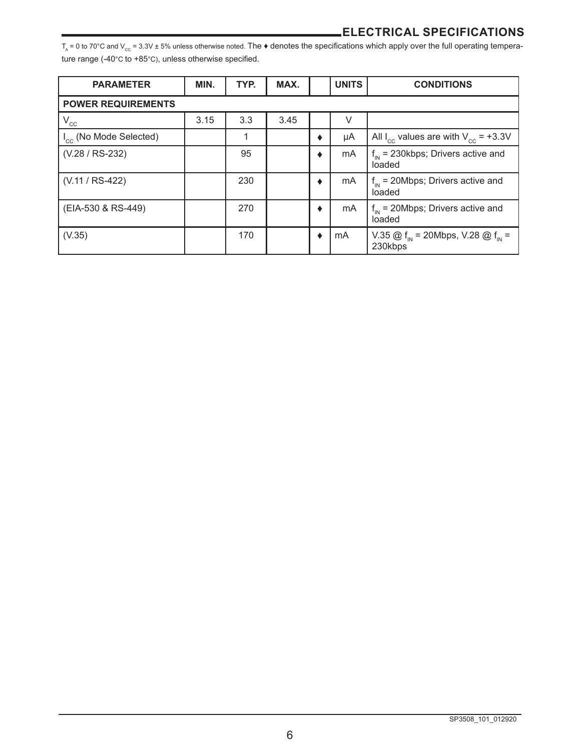T<sub>A</sub> = 0 to 70°C and V<sub>cc</sub> = 3.3V ± 5% unless otherwise noted. The  $\bullet$  denotes the specifications which apply over the full operating temperature range (-40°C to +85°C), unless otherwise specified.

| <b>PARAMETER</b>                   | MIN. | TYP. | MAX. |   | <b>UNITS</b> | <b>CONDITIONS</b>                                                    |  |  |
|------------------------------------|------|------|------|---|--------------|----------------------------------------------------------------------|--|--|
| <b>POWER REQUIREMENTS</b>          |      |      |      |   |              |                                                                      |  |  |
| $\rm V_{cc}$                       | 3.15 | 3.3  | 3.45 |   | $\vee$       |                                                                      |  |  |
| I <sub>cc</sub> (No Mode Selected) |      | 1    |      | ٠ | μA           | All $I_{cc}$ values are with $V_{cc}$ = +3.3V                        |  |  |
| (V.28 / RS-232)                    |      | 95   |      | ٠ | mA           | $f_{in}$ = 230kbps; Drivers active and<br>loaded                     |  |  |
| (V.11 / RS-422)                    |      | 230  |      | ٠ | mA           | $f_{in}$ = 20Mbps; Drivers active and<br>loaded                      |  |  |
| (EIA-530 & RS-449)                 |      | 270  |      | ٠ | mA           | $f_{\text{in}}$ = 20Mbps; Drivers active and<br>loaded               |  |  |
| (V.35)                             |      | 170  |      | ٠ | mA           | V.35 @ $f_{\text{in}}$ = 20Mbps, V.28 @ $f_{\text{in}}$ =<br>230kbps |  |  |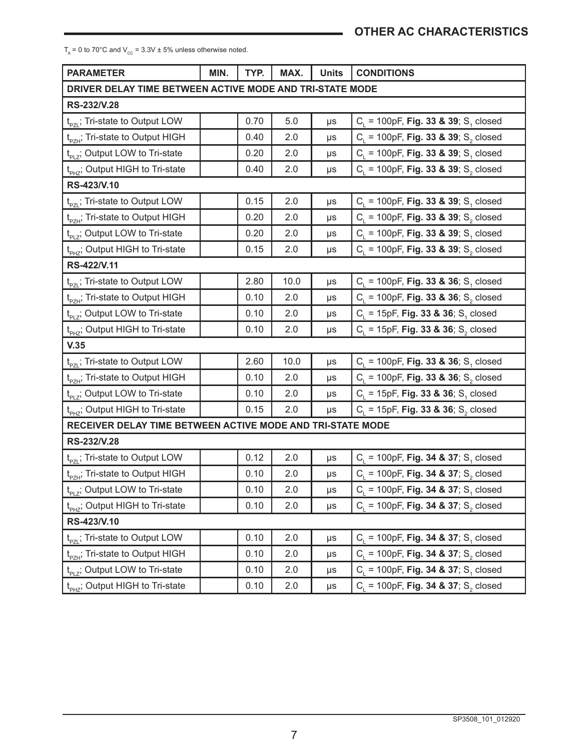$T_A = 0$  to 70°C and  $V_{CC} = 3.3V \pm 5%$  unless otherwise noted.

| <b>PARAMETER</b>                                           | MIN. | TYP. | MAX. | <b>Units</b> | <b>CONDITIONS</b>                                              |
|------------------------------------------------------------|------|------|------|--------------|----------------------------------------------------------------|
| DRIVER DELAY TIME BETWEEN ACTIVE MODE AND TRI-STATE MODE   |      |      |      |              |                                                                |
| RS-232/V.28                                                |      |      |      |              |                                                                |
| t <sub>pzi</sub> ; Tri-state to Output LOW                 |      | 0.70 | 5.0  | μs           | $C_1$ = 100pF, <b>Fig. 33 &amp; 39</b> ; S <sub>1</sub> closed |
| t <sub>PZH</sub> ; Tri-state to Output HIGH                |      | 0.40 | 2.0  | μs           | $C_1$ = 100pF, <b>Fig. 33 &amp; 39</b> ; S <sub>2</sub> closed |
| $t_{p+7}$ ; Output LOW to Tri-state                        |      | 0.20 | 2.0  | μs           | $C_1$ = 100pF, Fig. 33 & 39; S <sub>1</sub> closed             |
| t <sub>PH7</sub> ; Output HIGH to Tri-state                |      | 0.40 | 2.0  | μs           | $C_1$ = 100pF, <b>Fig. 33 &amp; 39</b> ; S <sub>2</sub> closed |
| RS-423/V.10                                                |      |      |      |              |                                                                |
| t <sub>pzL</sub> ; Tri-state to Output LOW                 |      | 0.15 | 2.0  | μs           | $C_1$ = 100pF, Fig. 33 & 39; S <sub>1</sub> closed             |
| t <sub>pzH</sub> ; Tri-state to Output HIGH                |      | 0.20 | 2.0  | μs           | $C_i = 100pF$ , Fig. 33 & 39; S <sub>2</sub> closed            |
| $t_{p_1}$ ; Output LOW to Tri-state                        |      | 0.20 | 2.0  | μs           | $C_i = 100pF$ , Fig. 33 & 39; S, closed                        |
| t <sub>PH7</sub> ; Output HIGH to Tri-state                |      | 0.15 | 2.0  | μs           | $C_1$ = 100pF, <b>Fig. 33 &amp; 39</b> ; S <sub>2</sub> closed |
| RS-422/V.11                                                |      |      |      |              |                                                                |
| t <sub>pzi</sub> ; Tri-state to Output LOW                 |      | 2.80 | 10.0 | μs           | $C_i = 100pF$ , Fig. 33 & 36; S <sub>1</sub> closed            |
| t <sub>pzH</sub> ; Tri-state to Output HIGH                |      | 0.10 | 2.0  | μs           | $C_i = 100pF$ , Fig. 33 & 36; S <sub>2</sub> closed            |
| $t_{PI}$ ; Output LOW to Tri-state                         |      | 0.10 | 2.0  | μs           | $C_i = 15pF$ , Fig. 33 & 36; S <sub>1</sub> closed             |
| t <sub>PHZ</sub> ; Output HIGH to Tri-state                |      | 0.10 | 2.0  | μs           | $C_1$ = 15pF, <b>Fig. 33 &amp; 36</b> ; S <sub>2</sub> closed  |
| V.35                                                       |      |      |      |              |                                                                |
| t <sub>PZL</sub> ; Tri-state to Output LOW                 |      | 2.60 | 10.0 | μs           | $C_i = 100pF$ , Fig. 33 & 36; S, closed                        |
| t <sub>pzH</sub> ; Tri-state to Output HIGH                |      | 0.10 | 2.0  | μs           | $C_1$ = 100pF, <b>Fig. 33 &amp; 36</b> ; S <sub>2</sub> closed |
| $t_{PI}$ ; Output LOW to Tri-state                         |      | 0.10 | 2.0  | μs           | $C_1$ = 15pF, Fig. 33 & 36; S <sub>1</sub> closed              |
| t <sub>PHZ</sub> ; Output HIGH to Tri-state                |      | 0.15 | 2.0  | μs           | $C_1$ = 15pF, Fig. 33 & 36; S <sub>2</sub> closed              |
| RECEIVER DELAY TIME BETWEEN ACTIVE MODE AND TRI-STATE MODE |      |      |      |              |                                                                |
| RS-232/V.28                                                |      |      |      |              |                                                                |
| t <sub>pzi</sub> ; Tri-state to Output LOW                 |      | 0.12 | 2.0  | μs           | $C_i = 100pF$ , Fig. 34 & 37; S, closed                        |
| t <sub>PZH</sub> ; Tri-state to Output HIGH                |      | 0.10 | 2.0  | μs           | $C_1$ = 100pF, Fig. 34 & 37; S <sub>2</sub> closed             |
| $t_{p+7}$ ; Output LOW to Tri-state                        |      | 0.10 | 2.0  | μs           | $C_i = 100pF$ , Fig. 34 & 37; S <sub>1</sub> closed            |
| t <sub>PHZ</sub> ; Output HIGH to Tri-state                |      | 0.10 | 2.0  | μs           | $C_1$ = 100pF, Fig. 34 & 37; S <sub>2</sub> closed             |
| RS-423/V.10                                                |      |      |      |              |                                                                |
| t <sub>pzL</sub> ; Tri-state to Output LOW                 |      | 0.10 | 2.0  | μs           | $C_1$ = 100pF, Fig. 34 & 37; S <sub>1</sub> closed             |
| t <sub>pzH</sub> ; Tri-state to Output HIGH                |      | 0.10 | 2.0  | μs           | $C_i = 100pF$ , Fig. 34 & 37; S <sub>2</sub> closed            |
| $t_{PI}$ ; Output LOW to Tri-state                         |      | 0.10 | 2.0  | μs           | $C_1$ = 100pF, Fig. 34 & 37; S <sub>1</sub> closed             |
| t <sub>PHZ</sub> ; Output HIGH to Tri-state                |      | 0.10 | 2.0  | μs           | $C_i = 100pF$ , Fig. 34 & 37; S <sub>2</sub> closed            |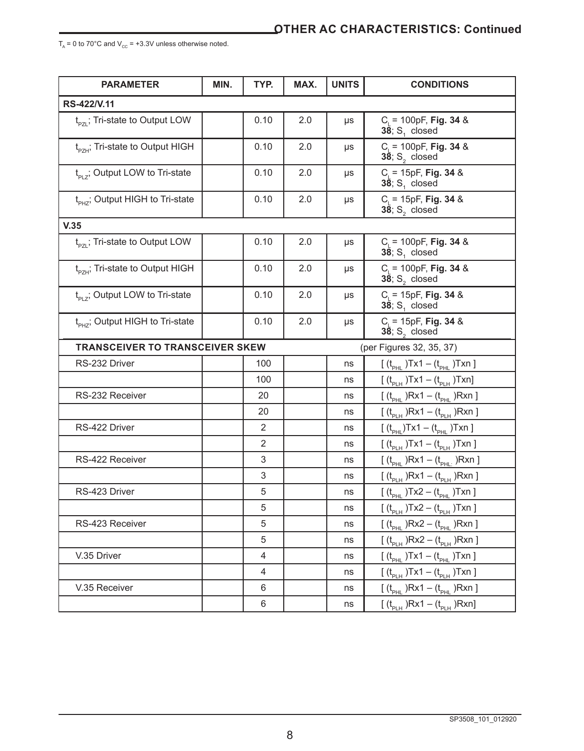$T_A = 0$  to 70°C and  $V_{cc} = +3.3V$  unless otherwise noted.

| <b>PARAMETER</b>                            | MIN. | TYP.           | MAX. | <b>UNITS</b> | <b>CONDITIONS</b>                                   |
|---------------------------------------------|------|----------------|------|--------------|-----------------------------------------------------|
| RS-422/V.11                                 |      |                |      |              |                                                     |
| $t_{pzi}$ ; Tri-state to Output LOW         |      | 0.10           | 2.0  | μs           | $C_i = 100pF$ , Fig. 34 &<br>$38; S1$ closed        |
| $t_{\text{ex}}$ ; Tri-state to Output HIGH  |      | 0.10           | 2.0  | μs           | $C_i = 100pF$ , Fig. 34 &<br>$38; S2$ closed        |
| $t_{PIZ}$ ; Output LOW to Tri-state         |      | 0.10           | 2.0  | μs           | $C_i = 15pF$ , Fig. 34 &<br>$38; S1$ closed         |
| t <sub>PH7</sub> ; Output HIGH to Tri-state |      | 0.10           | 2.0  | μs           | $C_i = 15pF$ , Fig. 34 &<br>$38; S2$ closed         |
| V.35                                        |      |                |      |              |                                                     |
| $t_{\text{p}z}$ ; Tri-state to Output LOW   |      | 0.10           | 2.0  | μs           | $C_i = 100pF$ , Fig. 34 &<br>$38; S1$ closed        |
| t <sub>pzH</sub> ; Tri-state to Output HIGH |      | 0.10           | 2.0  | μs           | $C_i = 100pF$ , Fig. 34 &<br>$38; S2$ closed        |
| $t_{p+2}$ ; Output LOW to Tri-state         |      | 0.10           | 2.0  | μs           | $C_i = 15pF$ , Fig. 34 &<br>$38; S1$ closed         |
| $t_{\text{pHZ}}$ ; Output HIGH to Tri-state |      | 0.10           | 2.0  | μs           | $C_i = 15pF$ , Fig. 34 &<br>$38; S2$ closed         |
| <b>TRANSCEIVER TO TRANSCEIVER SKEW</b>      |      |                |      |              | (per Figures 32, 35, 37)                            |
| RS-232 Driver                               |      | 100            |      | ns           | $[ (t_{PHL})Tx1 - (t_{PHL})Txn ]$                   |
|                                             |      | 100            |      | ns           | $[ (t_{PLH})Tx1 - (t_{PLH})Txn]$                    |
| RS-232 Receiver                             |      | 20             |      | ns           | $[ (t_{PHL})Rx1 - (t_{PHL})Rxn ]$                   |
|                                             |      | 20             |      | ns           | $[ (t_{PLH})Rx1 - (t_{PLH})Rxn ]$                   |
| RS-422 Driver                               |      | 2              |      | ns           | $[(t_{\text{p}_{HI}})Tx1 - (t_{\text{p}_{HI}})Txn]$ |
|                                             |      | $\overline{2}$ |      | ns           | $[ (t_{p_LH})Tx1 - (t_{p_LH})Txn ]$                 |
| RS-422 Receiver                             |      | 3              |      | ns           | $[ (t_{PHL})Rx1 - (t_{PHL})Rxn ]$                   |
|                                             |      | 3              |      | ns           | $[ (t_{p_{LH}})Rx1 - (t_{p_{LH}})Rxn ]$             |
| RS-423 Driver                               |      | 5              |      | ns           | $[ (t_{PHL})Tx2 - (t_{PHL})Txn ]$                   |
|                                             |      | 5              |      | ns           | $[ (t_{p_LH})Tx2 - (t_{p_LH})Txn ]$                 |
| RS-423 Receiver                             |      | 5              |      | ns           | $[ (t_{\text{pH}})Rx2 - (t_{\text{pH}})Rxn ]$       |
|                                             |      | 5              |      | ns           | $[ (t_{PLH})Rx2 - (t_{PLH})Rxn ]$                   |
| V.35 Driver                                 |      | 4              |      | ns           | $[ (t_{PHL})Tx1 - (t_{PHL})Txn ]$                   |
|                                             |      | 4              |      | ns           | $[ (t_{p_LH})Tx1 - (t_{p_LH})Txn ]$                 |
| V.35 Receiver                               |      | 6              |      | ns           | $[ (t_{PHL})Rx1 - (t_{PHL})Rxn ]$                   |
|                                             |      | 6              |      | ns           | $[ (t_{p_{1H}})Rx1 - (t_{p_{1H}})Rxn]$              |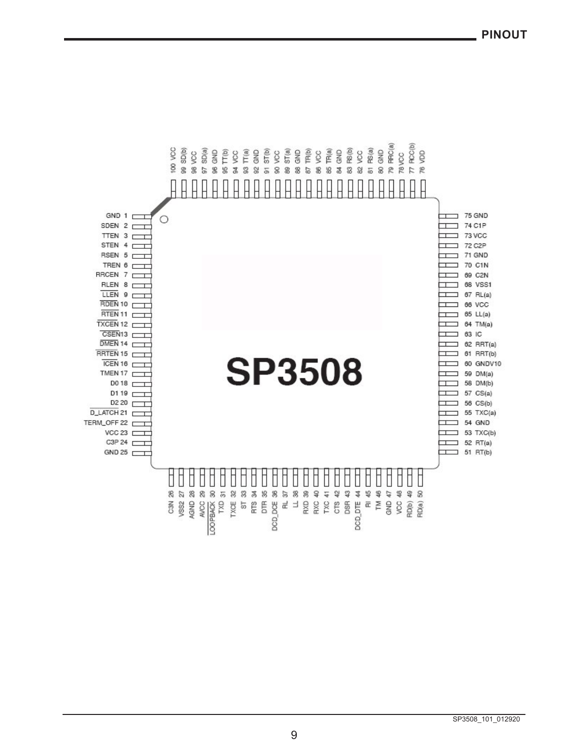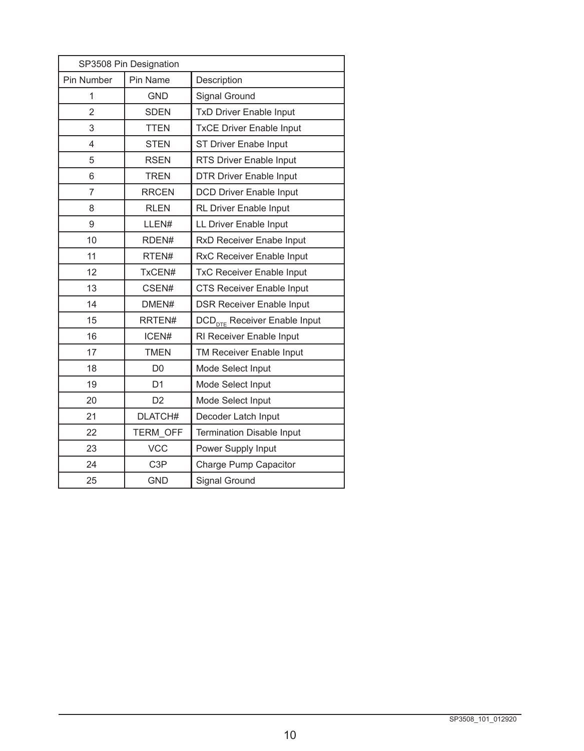| SP3508 Pin Designation |                  |                                          |  |  |  |  |
|------------------------|------------------|------------------------------------------|--|--|--|--|
| Pin Number             | Pin Name         | Description                              |  |  |  |  |
| 1                      | <b>GND</b>       | Signal Ground                            |  |  |  |  |
| $\overline{2}$         | <b>SDEN</b>      | <b>TxD Driver Enable Input</b>           |  |  |  |  |
| 3                      | <b>TTEN</b>      | <b>TxCE Driver Enable Input</b>          |  |  |  |  |
| 4                      | <b>STEN</b>      | ST Driver Enabe Input                    |  |  |  |  |
| 5                      | <b>RSEN</b>      | RTS Driver Enable Input                  |  |  |  |  |
| 6                      | <b>TREN</b>      | <b>DTR Driver Enable Input</b>           |  |  |  |  |
| $\overline{7}$         | <b>RRCEN</b>     | <b>DCD Driver Enable Input</b>           |  |  |  |  |
| 8                      | <b>RLEN</b>      | <b>RL Driver Enable Input</b>            |  |  |  |  |
| 9                      | LLEN#            | LL Driver Enable Input                   |  |  |  |  |
| 10                     | RDEN#            | RxD Receiver Enabe Input                 |  |  |  |  |
| 11                     | RTEN#            | RxC Receiver Enable Input                |  |  |  |  |
| 12                     | TxCEN#           | <b>TxC Receiver Enable Input</b>         |  |  |  |  |
| 13                     | CSEN#            | <b>CTS Receiver Enable Input</b>         |  |  |  |  |
| 14                     | DMEN#            | <b>DSR Receiver Enable Input</b>         |  |  |  |  |
| 15                     | RRTEN#           | DCD <sub>nTE</sub> Receiver Enable Input |  |  |  |  |
| 16                     | ICEN#            | RI Receiver Enable Input                 |  |  |  |  |
| 17                     | <b>TMEN</b>      | TM Receiver Enable Input                 |  |  |  |  |
| 18                     | D <sub>0</sub>   | Mode Select Input                        |  |  |  |  |
| 19                     | D <sub>1</sub>   | Mode Select Input                        |  |  |  |  |
| 20                     | D <sub>2</sub>   | Mode Select Input                        |  |  |  |  |
| 21                     | DLATCH#          | Decoder Latch Input                      |  |  |  |  |
| 22                     | TERM OFF         | <b>Termination Disable Input</b>         |  |  |  |  |
| 23                     | <b>VCC</b>       | Power Supply Input                       |  |  |  |  |
| 24                     | C <sub>3</sub> P | Charge Pump Capacitor                    |  |  |  |  |
| 25                     | <b>GND</b>       | Signal Ground                            |  |  |  |  |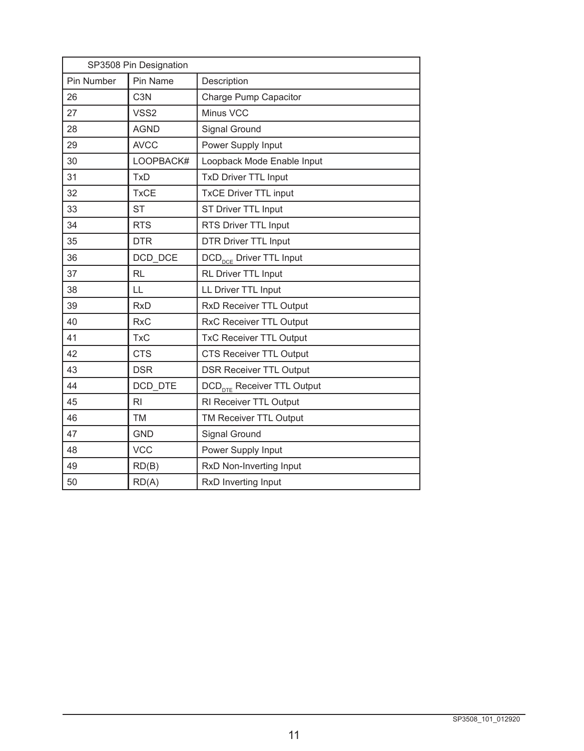| SP3508 Pin Designation |                  |                                        |  |  |  |
|------------------------|------------------|----------------------------------------|--|--|--|
| Pin Number             | Pin Name         | Description                            |  |  |  |
| 26                     | C <sub>3</sub> N | Charge Pump Capacitor                  |  |  |  |
| 27                     | VSS <sub>2</sub> | Minus VCC                              |  |  |  |
| 28                     | <b>AGND</b>      | Signal Ground                          |  |  |  |
| 29                     | <b>AVCC</b>      | Power Supply Input                     |  |  |  |
| 30                     | LOOPBACK#        | Loopback Mode Enable Input             |  |  |  |
| 31                     | <b>TxD</b>       | <b>TxD Driver TTL Input</b>            |  |  |  |
| 32                     | <b>TxCE</b>      | <b>TxCE Driver TTL input</b>           |  |  |  |
| 33                     | <b>ST</b>        | ST Driver TTL Input                    |  |  |  |
| 34                     | <b>RTS</b>       | RTS Driver TTL Input                   |  |  |  |
| 35                     | <b>DTR</b>       | <b>DTR Driver TTL Input</b>            |  |  |  |
| 36                     | DCD DCE          | DCD <sub>pcF</sub> Driver TTL Input    |  |  |  |
| 37                     | <b>RL</b>        | RL Driver TTL Input                    |  |  |  |
| 38                     | LL               | LL Driver TTL Input                    |  |  |  |
| 39                     | <b>RxD</b>       | RxD Receiver TTL Output                |  |  |  |
| 40                     | <b>RxC</b>       | RxC Receiver TTL Output                |  |  |  |
| 41                     | <b>TxC</b>       | <b>TxC Receiver TTL Output</b>         |  |  |  |
| 42                     | <b>CTS</b>       | CTS Receiver TTL Output                |  |  |  |
| 43                     | <b>DSR</b>       | <b>DSR Receiver TTL Output</b>         |  |  |  |
| 44                     | DCD_DTE          | DCD <sub>nTE</sub> Receiver TTL Output |  |  |  |
| 45                     | R <sub>1</sub>   | RI Receiver TTL Output                 |  |  |  |
| 46                     | <b>TM</b>        | TM Receiver TTL Output                 |  |  |  |
| 47                     | <b>GND</b>       | Signal Ground                          |  |  |  |
| 48                     | <b>VCC</b>       | Power Supply Input                     |  |  |  |
| 49                     | RD(B)            | RxD Non-Inverting Input                |  |  |  |
| 50                     | RD(A)            | RxD Inverting Input                    |  |  |  |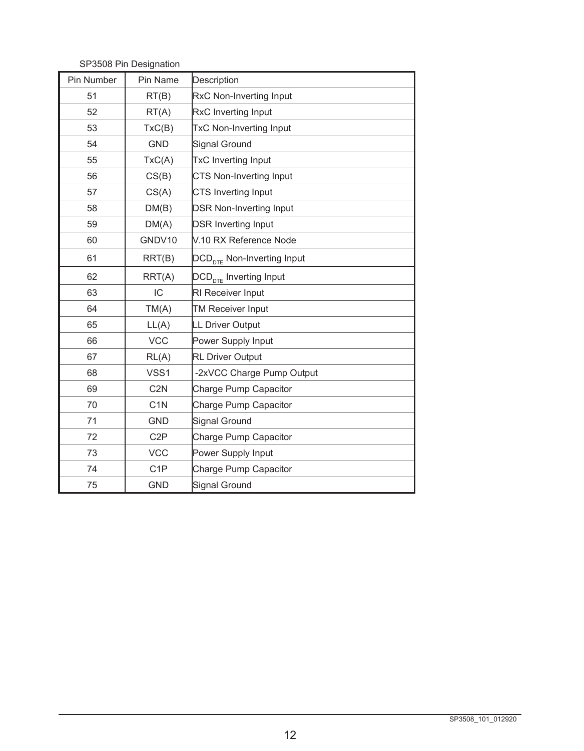| Pin Number | Pin Name         | Description                            |
|------------|------------------|----------------------------------------|
| 51         | RT(B)            | RxC Non-Inverting Input                |
| 52         | RT(A)            | RxC Inverting Input                    |
| 53         | TxC(B)           | TxC Non-Inverting Input                |
| 54         | <b>GND</b>       | Signal Ground                          |
| 55         | TxC(A)           | TxC Inverting Input                    |
| 56         | CS(B)            | CTS Non-Inverting Input                |
| 57         | CS(A)            | CTS Inverting Input                    |
| 58         | DM(B)            | <b>DSR Non-Inverting Input</b>         |
| 59         | DM(A)            | <b>DSR Inverting Input</b>             |
| 60         | GNDV10           | V.10 RX Reference Node                 |
| 61         | RRT(B)           | DCD <sub>nTE</sub> Non-Inverting Input |
| 62         | RRT(A)           | DCD <sub>DTE</sub> Inverting Input     |
| 63         | IC               | RI Receiver Input                      |
| 64         | TM(A)            | <b>TM Receiver Input</b>               |
| 65         | LL(A)            | <b>LL Driver Output</b>                |
| 66         | <b>VCC</b>       | Power Supply Input                     |
| 67         | RL(A)            | <b>RL Driver Output</b>                |
| 68         | VSS1             | -2xVCC Charge Pump Output              |
| 69         | C <sub>2</sub> N | Charge Pump Capacitor                  |
| 70         | C <sub>1</sub> N | Charge Pump Capacitor                  |
| 71         | <b>GND</b>       | Signal Ground                          |
| 72         | C <sub>2</sub> P | Charge Pump Capacitor                  |
| 73         | <b>VCC</b>       | Power Supply Input                     |
| 74         | C <sub>1</sub> P | Charge Pump Capacitor                  |
| 75         | <b>GND</b>       | <b>Signal Ground</b>                   |

SP3508 Pin Designation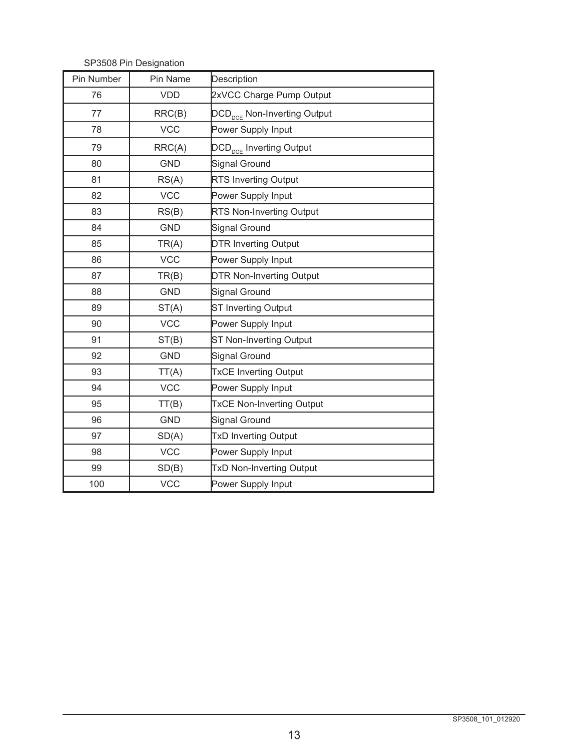| Pin Number | Pin Name   | Description                             |
|------------|------------|-----------------------------------------|
| 76         | <b>VDD</b> | 2xVCC Charge Pump Output                |
| 77         | RRC(B)     | DCD <sub>pCF</sub> Non-Inverting Output |
| 78         | <b>VCC</b> | Power Supply Input                      |
| 79         | RRC(A)     | DCD <sub>DCE</sub> Inverting Output     |
| 80         | <b>GND</b> | <b>Signal Ground</b>                    |
| 81         | RS(A)      | <b>RTS Inverting Output</b>             |
| 82         | <b>VCC</b> | Power Supply Input                      |
| 83         | RS(B)      | <b>RTS Non-Inverting Output</b>         |
| 84         | <b>GND</b> | Signal Ground                           |
| 85         | TR(A)      | <b>DTR Inverting Output</b>             |
| 86         | <b>VCC</b> | Power Supply Input                      |
| 87         | TR(B)      | <b>DTR Non-Inverting Output</b>         |
| 88         | <b>GND</b> | Signal Ground                           |
| 89         | ST(A)      | <b>ST Inverting Output</b>              |
| 90         | <b>VCC</b> | Power Supply Input                      |
| 91         | ST(B)      | ST Non-Inverting Output                 |
| 92         | <b>GND</b> | <b>Signal Ground</b>                    |
| 93         | TT(A)      | <b>TxCE Inverting Output</b>            |
| 94         | <b>VCC</b> | Power Supply Input                      |
| 95         | TT(B)      | <b>TxCE Non-Inverting Output</b>        |
| 96         | <b>GND</b> | <b>Signal Ground</b>                    |
| 97         | SD(A)      | <b>TxD Inverting Output</b>             |
| 98         | <b>VCC</b> | Power Supply Input                      |
| 99         | SD(B)      | <b>TxD Non-Inverting Output</b>         |
| 100        | <b>VCC</b> | Power Supply Input                      |

SP3508 Pin Designation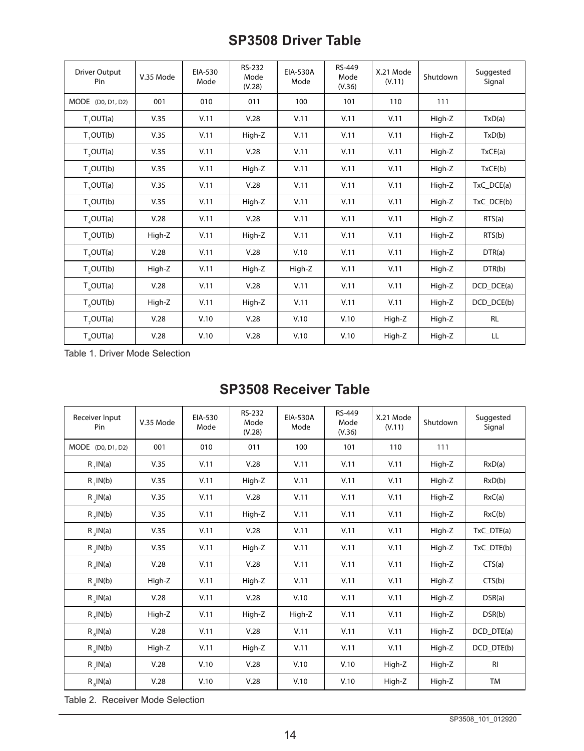# **SP3508 Driver Table**

| Driver Output<br>Pin  | V.35 Mode | EIA-530<br>Mode | RS-232<br>Mode<br>(V.28) | EIA-530A<br>Mode | <b>RS-449</b><br>Mode<br>(V.36) | X.21 Mode<br>(V.11) | Shutdown | Suggested<br>Signal |
|-----------------------|-----------|-----------------|--------------------------|------------------|---------------------------------|---------------------|----------|---------------------|
| MODE (D0, D1, D2)     | 001       | 010             | 011                      | 100              | 101                             | 110                 | 111      |                     |
| T, OUT(a)             | V.35      | V.11            | V.28                     | V.11             | V.11                            | V.11                | High-Z   | TxD(a)              |
| T, OUT(b)             | V.35      | V.11            | High-Z                   | V.11             | V.11                            | V.11                | High-Z   | TxD(b)              |
| T, OUT(a)             | V.35      | V.11            | V.28                     | V.11             | V.11                            | V.11                | High-Z   | TxCE(a)             |
| T, OUT(b)             | V.35      | V.11            | High-Z                   | V.11             | V.11                            | V.11                | High-Z   | TxCE(b)             |
| T, OUT(a)             | V.35      | V.11            | V.28                     | V.11             | V.11                            | V.11                | High-Z   | $TxC\_DCE(a)$       |
| T, OUT(b)             | V.35      | V.11            | High-Z                   | V.11             | V.11                            | V.11                | High-Z   | TxC_DCE(b)          |
| $T_{A}$ OUT(a)        | V.28      | V.11            | V.28                     | V.11             | V.11                            | V.11                | High-Z   | RTS(a)              |
| $T_{A}OUT(b)$         | High-Z    | V.11            | High-Z                   | V.11             | V.11                            | V.11                | High-Z   | RTS(b)              |
| $T_c$ OUT(a)          | V.28      | V.11            | V.28                     | V.10             | V.11                            | V.11                | High-Z   | DTR(a)              |
| T <sub>e</sub> OUT(b) | High-Z    | V.11            | High-Z                   | High-Z           | V.11                            | V.11                | High-Z   | DTR(b)              |
| $T_c$ OUT(a)          | V.28      | V.11            | V.28                     | V.11             | V.11                            | V.11                | High-Z   | DCD DCE(a)          |
| $T_c$ OUT(b)          | High-Z    | V.11            | High-Z                   | V.11             | V.11                            | V.11                | High-Z   | DCD_DCE(b)          |
| T <sub>1</sub> OUT(a) | V.28      | V.10            | V.28                     | V.10             | V.10                            | High-Z              | High-Z   | <b>RL</b>           |
| T <sub>s</sub> OUT(a) | V.28      | V.10            | V.28                     | V.10             | V.10                            | High-Z              | High-Z   | LL                  |

Table 1. Driver Mode Selection

# **SP3508 Receiver Table**

| Receiver Input<br>Pin    | V.35 Mode | EIA-530<br>Mode | RS-232<br>Mode<br>(V.28) | EIA-530A<br>Mode | RS-449<br>Mode<br>(V.36) | X.21 Mode<br>(V.11) | Shutdown | Suggested<br>Signal |
|--------------------------|-----------|-----------------|--------------------------|------------------|--------------------------|---------------------|----------|---------------------|
| MODE (D0, D1, D2)        | 001       | 010             | 011                      | 100              | 101                      | 110                 | 111      |                     |
| R, IN(a)                 | V.35      | V.11            | V.28                     | V.11             | V.11                     | V.11                | High-Z   | RxD(a)              |
| $R$ , $IN(b)$            | V.35      | V.11            | High-Z                   | V.11             | V.11                     | V.11                | High-Z   | RxD(b)              |
| $R$ , $IN(a)$            | V.35      | V.11            | V.28                     | V.11             | V.11                     | V.11                | High-Z   | RxC(a)              |
| $R$ , $IN(b)$            | V.35      | V.11            | High-Z                   | V.11             | V.11                     | V.11                | High-Z   | RxC(b)              |
| R, IN(a)                 | V.35      | V.11            | V.28                     | V.11             | V.11                     | V.11                | High-Z   | $TxC_DTE(a)$        |
| R, IN(b)                 | V.35      | V.11            | High-Z                   | V.11             | V.11                     | V.11                | High-Z   | TxC_DTE(b)          |
| $R$ <sub>s</sub> $IN(a)$ | V.28      | V.11            | V.28                     | V.11             | V.11                     | V.11                | High-Z   | CTS(a)              |
| $R_{A}$ IN(b)            | High-Z    | V.11            | High-Z                   | V.11             | V.11                     | V.11                | High-Z   | CTS(b)              |
| $R_{\rm g}$ IN(a)        | V.28      | V.11            | V.28                     | V.10             | V.11                     | V.11                | High-Z   | DSR(a)              |
| $R$ , $IN(b)$            | High-Z    | V.11            | High-Z                   | High-Z           | V.11                     | V.11                | High-Z   | DSR(b)              |
| $R_{\epsilon}$ IN(a)     | V.28      | V.11            | V.28                     | V.11             | V.11                     | V.11                | High-Z   | DCD_DTE(a)          |
| $R_{e}$ IN(b)            | High-Z    | V.11            | High-Z                   | V.11             | V.11                     | V.11                | High-Z   | DCD DTE(b)          |
| $R$ , $IN(a)$            | V.28      | V.10            | V.28                     | V.10             | V.10                     | High-Z              | High-Z   | R <sub>l</sub>      |
| $R_sIN(a)$               | V.28      | V.10            | V.28                     | V.10             | V.10                     | High-Z              | High-Z   | <b>TM</b>           |

Table 2. Receiver Mode Selection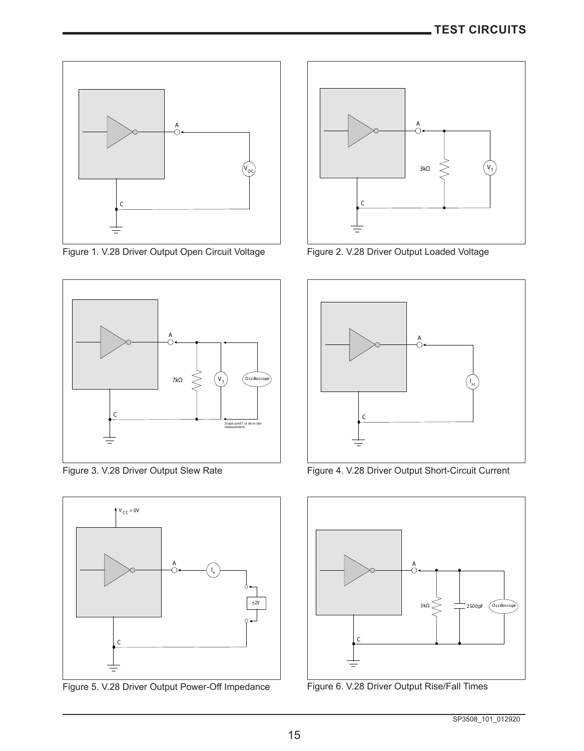

Figure 1. V.28 Driver Output Open Circuit Voltage Figure 2. V.28 Driver Output Loaded Voltage





Figure 5. V.28 Driver Output Power-Off Impedance Figure 6. V.28 Driver Output Rise/Fall Times





Figure 3. V.28 Driver Output Slew Rate Figure 4. V.28 Driver Output Short-Circuit Current



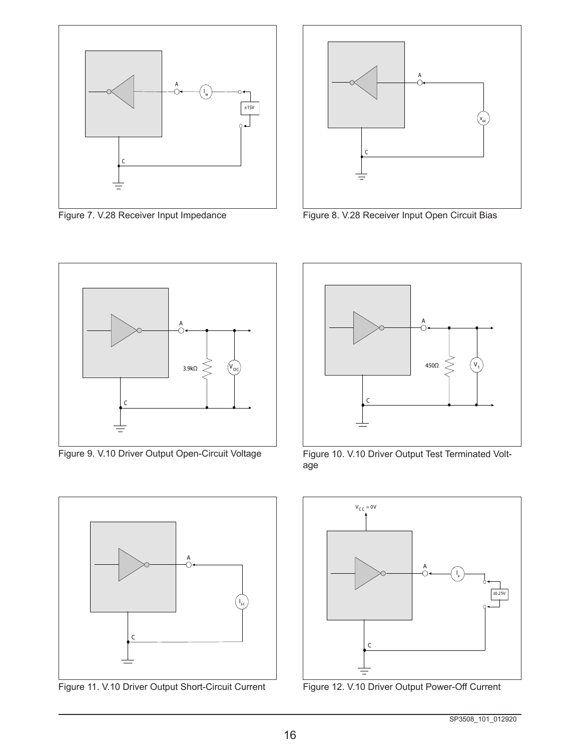



Figure 7. V.28 Receiver Input Impedance Figure 8. V.28 Receiver Input Open Circuit Bias





Figure 11. V.10 Driver Output Short-Circuit Current Figure 12. V.10 Driver Output Power-Off Current



Figure 9. V.10 Driver Output Open-Circuit Voltage Figure 10. V.10 Driver Output Test Terminated Voltage

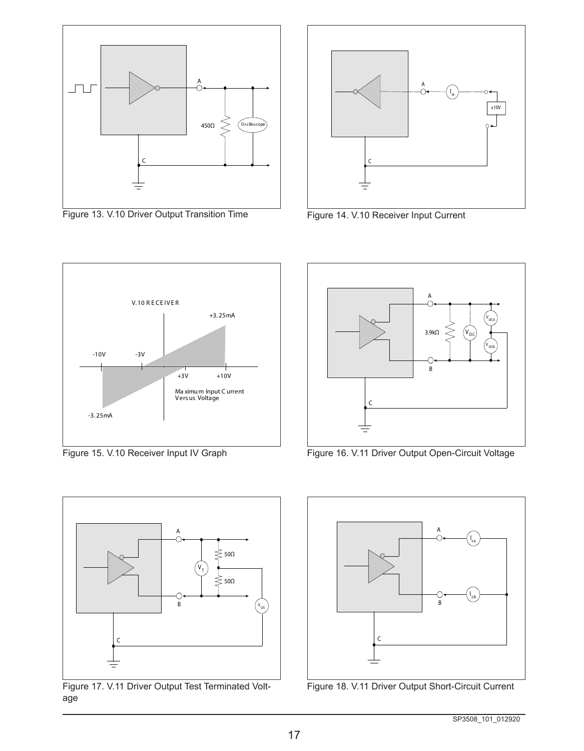

Figure 13. V.10 Driver Output Transition Time Figure 14. V.10 Receiver Input Current



A

B

 $3.9k\Omega$ 

v<br>oca

 ${\tt v}_{\tt ocB}$ 







Figure 17. V.11 Driver Output Test Terminated Voltage



Figure 18. V.11 Driver Output Short-Circuit Current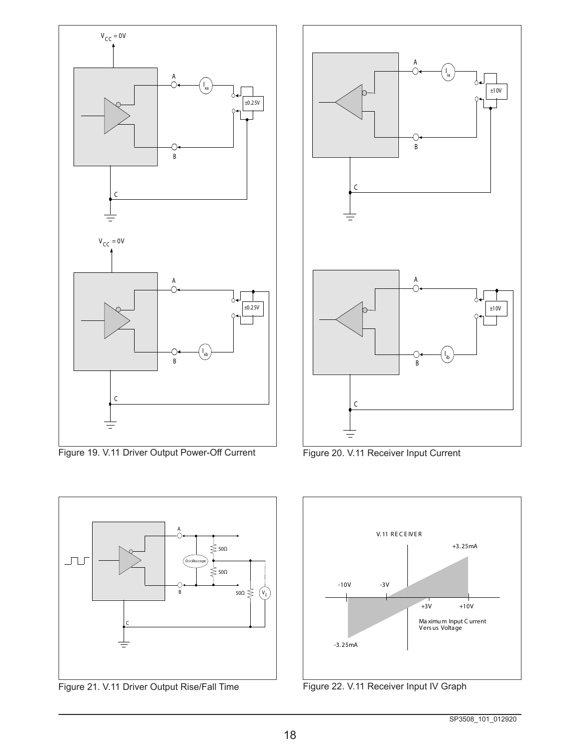

Figure 19. V.11 Driver Output Power-Off Current Figure 20. V.11 Receiver Input Current







Figure 21. V.11 Driver Output Rise/Fall Time Figure 22. V.11 Receiver Input IV Graph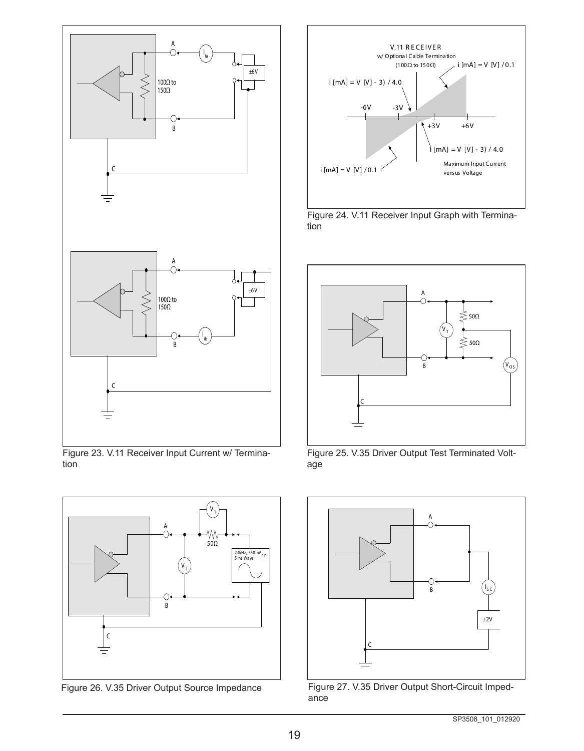

Figure 23. V.11 Receiver Input Current w/ Termination



Figure 26. V.35 Driver Output Source Impedance



Figure 24. V.11 Receiver Input Graph with Termination



Figure 25. V.35 Driver Output Test Terminated Voltage



Figure 27. V.35 Driver Output Short-Circuit Impedance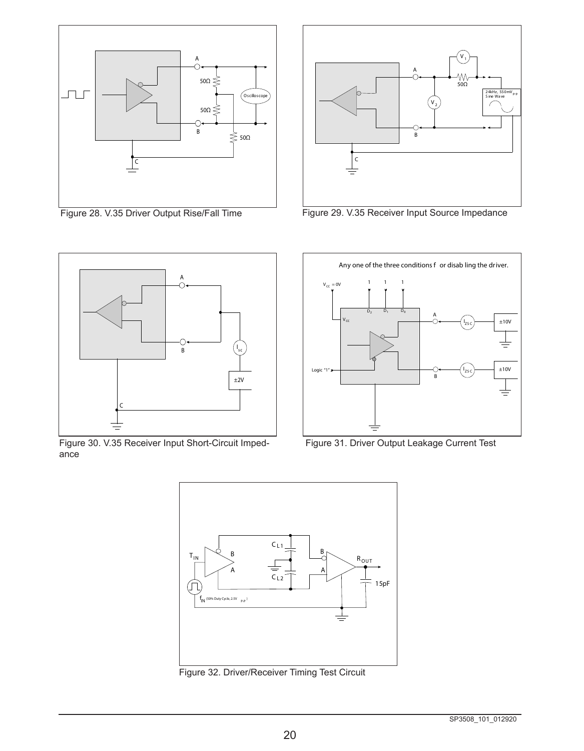



Figure 28. V.35 Driver Output Rise/Fall Time Figure 29. V.35 Receiver Input Source Impedance



Figure 30. V.35 Receiver Input Short-Circuit Impedance



Figure 31. Driver Output Leakage Current Test



Figure 32. Driver/Receiver Timing Test Circuit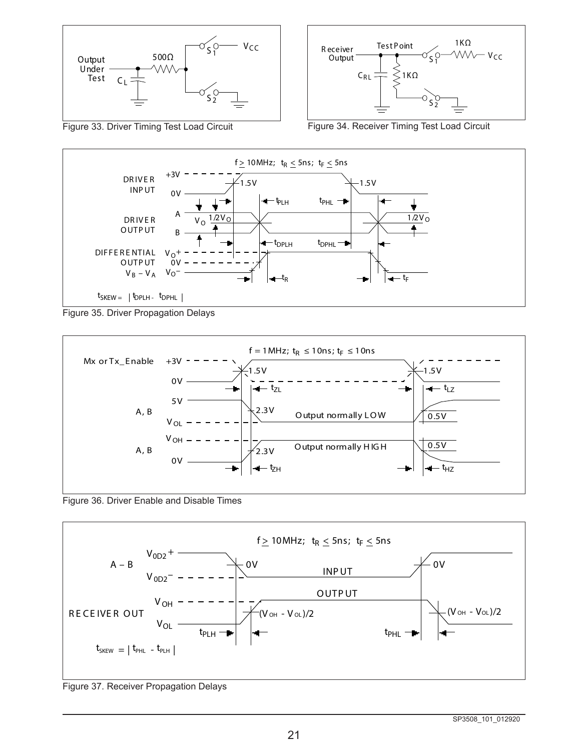



Figure 33. Driver Timing Test Load Circuit Figure 34. Receiver Timing Test Load Circuit



Figure 35. Driver Propagation Delays



Figure 36. Driver Enable and Disable Times



Figure 37. Receiver Propagation Delays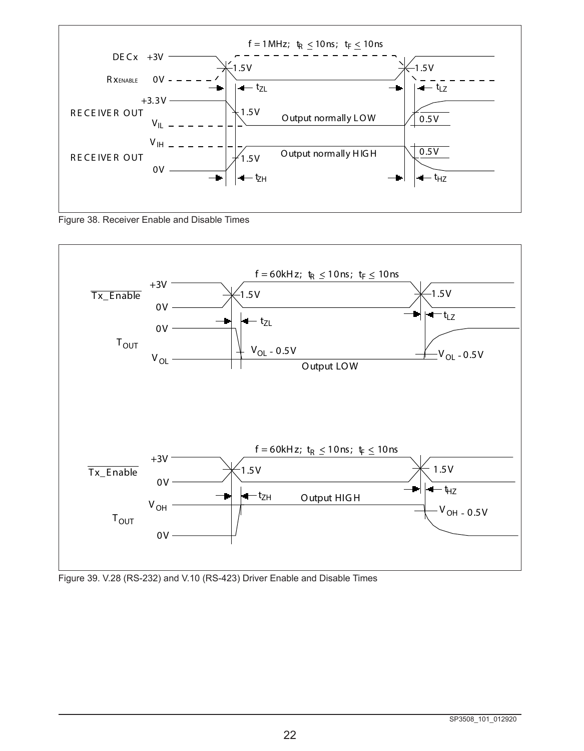

Figure 38. Receiver Enable and Disable Times



Figure 39. V.28 (RS-232) and V.10 (RS-423) Driver Enable and Disable Times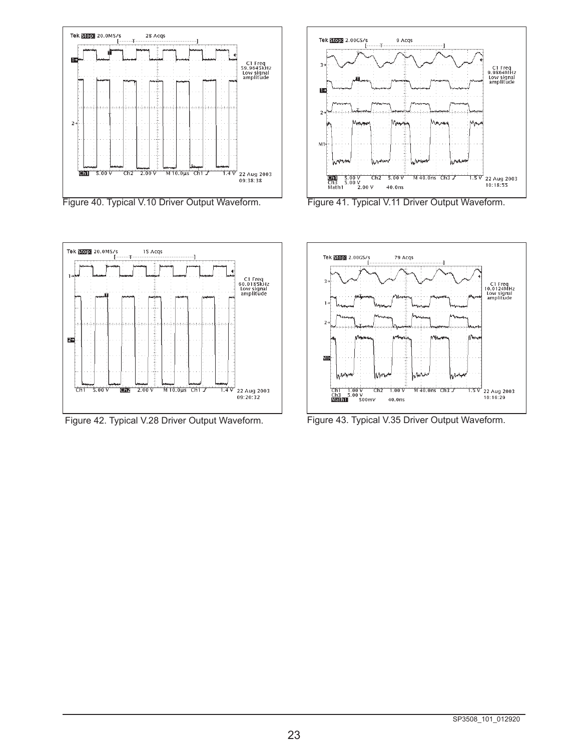







Figure 42. Typical V.28 Driver Output Waveform. Figure 43. Typical V.35 Driver Output Waveform.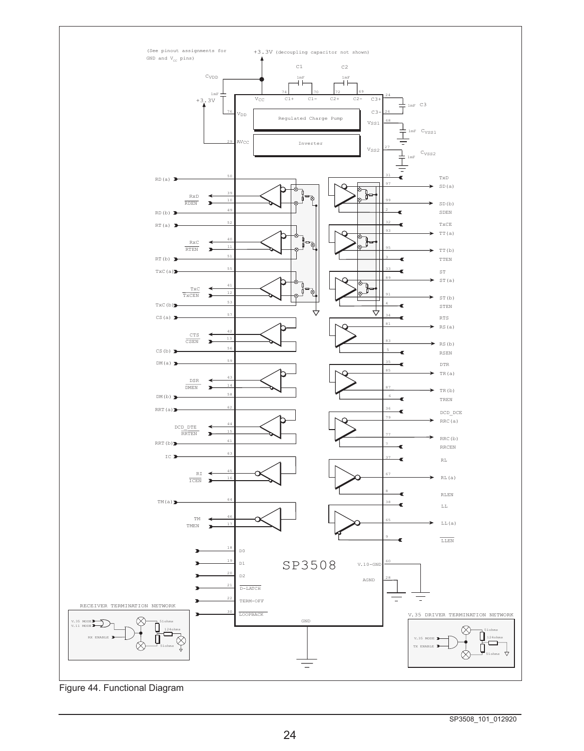

Figure 44. Functional Diagram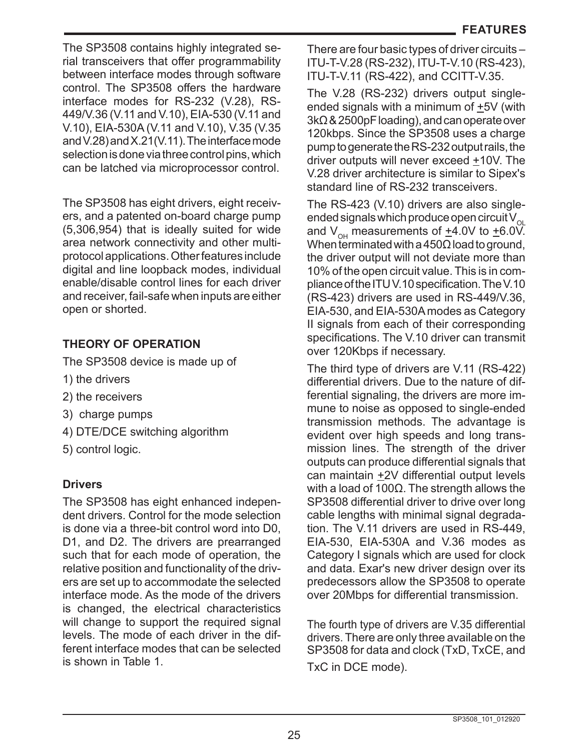The SP3508 contains highly integrated serial transceivers that offer programmability between interface modes through software control. The SP3508 offers the hardware interface modes for RS-232 (V.28), RS-449/V.36 (V.11 and V.10), EIA-530 (V.11 and V.10), EIA-530A (V.11 and V.10), V.35 (V.35 and V.28) and X.21(V.11). The interface mode selection is done via three control pins, which can be latched via microprocessor control.

The SP3508 has eight drivers, eight receivers, and a patented on-board charge pump (5,306,954) that is ideally suited for wide area network connectivity and other multiprotocol applications. Other features include digital and line loopback modes, individual enable/disable control lines for each driver and receiver, fail-safe when inputs are either open or shorted.

# **THEORY OF OPERATION**

The SP3508 device is made up of

- 1) the drivers
- 2) the receivers
- 3) charge pumps
- 4) DTE/DCE switching algorithm
- 5) control logic.

# **Drivers**

The SP3508 has eight enhanced independent drivers. Control for the mode selection is done via a three-bit control word into D0, D1, and D2. The drivers are prearranged such that for each mode of operation, the relative position and functionality of the drivers are set up to accommodate the selected interface mode. As the mode of the drivers is changed, the electrical characteristics will change to support the required signal levels. The mode of each driver in the different interface modes that can be selected is shown in Table 1.

There are four basic types of driver circuits – ITU-T-V.28 (RS-232), ITU-T-V.10 (RS-423), ITU-T-V.11 (RS-422), and CCITT-V.35.

The V.28 (RS-232) drivers output singleended signals with a minimum of +5V (with 3kΩ & 2500pF loading), and can operate over 120kbps. Since the SP3508 uses a charge pump to generate the RS-232 output rails, the driver outputs will never exceed +10V. The V.28 driver architecture is similar to Sipex's standard line of RS-232 transceivers.

The RS-423 (V.10) drivers are also singleended signals which produce open circuit  $V_{\alpha}$ and  $V_{\text{OH}}$  measurements of  $\pm 4.0V$  to  $\pm 6.0V$ . When terminated with a 450 $\Omega$  load to ground, the driver output will not deviate more than 10% of the open circuit value. This is in compliance of the ITU V.10 specification. The V.10 (RS-423) drivers are used in RS-449/V.36, EIA-530, and EIA-530A modes as Category II signals from each of their corresponding specifications. The V.10 driver can transmit over 120Kbps if necessary.

The third type of drivers are V.11 (RS-422) differential drivers. Due to the nature of differential signaling, the drivers are more immune to noise as opposed to single-ended transmission methods. The advantage is evident over high speeds and long transmission lines. The strength of the driver outputs can produce differential signals that can maintain +2V differential output levels with a load of 100Ω. The strength allows the SP3508 differential driver to drive over long cable lengths with minimal signal degradation. The V.11 drivers are used in RS-449, EIA-530, EIA-530A and V.36 modes as Category I signals which are used for clock and data. Exar's new driver design over its predecessors allow the SP3508 to operate over 20Mbps for differential transmission.

The fourth type of drivers are V.35 differential drivers. There are only three available on the SP3508 for data and clock (TxD, TxCE, and TxC in DCE mode).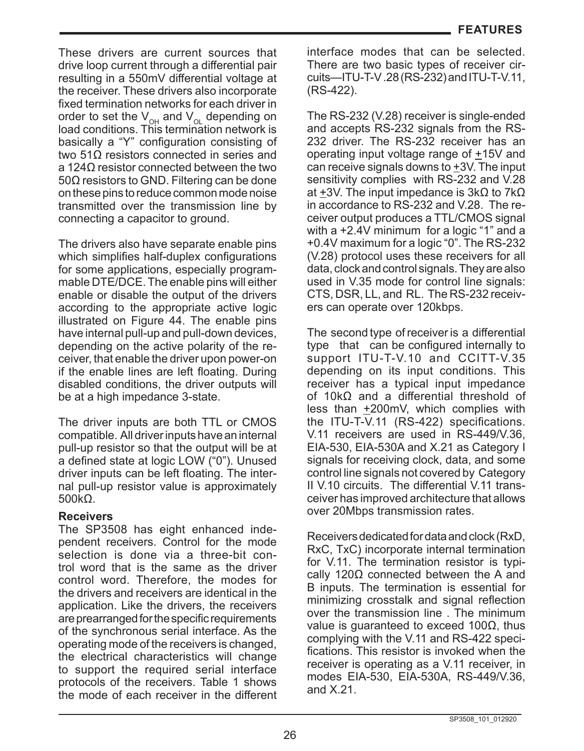These drivers are current sources that drive loop current through a differential pair resulting in a 550mV differential voltage at the receiver. These drivers also incorporate fixed termination networks for each driver in order to set the  $V_{\text{OH}}$  and  $V_{\text{OL}}$  depending on load conditions. This termination network is basically a "Y" configuration consisting of two 51Ω resistors connected in series and a 124Ω resistor connected between the two 50Ω resistors to GND. Filtering can be done on these pins to reduce common mode noise transmitted over the transmission line by connecting a capacitor to ground.

The drivers also have separate enable pins which simplifies half-duplex configurations for some applications, especially programmable DTE/DCE. The enable pins will either enable or disable the output of the drivers according to the appropriate active logic illustrated on Figure 44. The enable pins have internal pull-up and pull-down devices, depending on the active polarity of the receiver, that enable the driver upon power-on if the enable lines are left floating. During disabled conditions, the driver outputs will be at a high impedance 3-state.

The driver inputs are both TTL or CMOS compatible. All driver inputs have an internal pull-up resistor so that the output will be at a defined state at logic LOW ("0"). Unused driver inputs can be left floating. The internal pull-up resistor value is approximately 500kΩ.

## **Receivers**

The SP3508 has eight enhanced independent receivers. Control for the mode selection is done via a three-bit control word that is the same as the driver control word. Therefore, the modes for the drivers and receivers are identical in the application. Like the drivers, the receivers are prearranged for the specific requirements of the synchronous serial interface. As the operating mode of the receivers is changed, the electrical characteristics will change to support the required serial interface protocols of the receivers. Table 1 shows the mode of each receiver in the different interface modes that can be selected. There are two basic types of receiver circuits—ITU-T-V .28 (RS-232) and ITU-T-V.11, (RS-422).

The RS-232 (V.28) receiver is single-ended and accepts RS-232 signals from the RS-232 driver. The RS-232 receiver has an operating input voltage range of +15V and can receive signals downs to +3V. The input sensitivity complies with RS-232 and V.28 at +3V. The input impedance is 3kΩ to 7kΩ in accordance to RS-232 and V.28. The receiver output produces a TTL/CMOS signal with a +2.4V minimum for a logic "1" and a +0.4V maximum for a logic "0". The RS-232 (V.28) protocol uses these receivers for all data, clock and control signals. They are also used in V.35 mode for control line signals: CTS, DSR, LL, and RL. The RS-232 receivers can operate over 120kbps.

The second type of receiver is a differential type that can be configured internally to support ITU-T-V.10 and CCITT-V.35 depending on its input conditions. This receiver has a typical input impedance of 10kΩ and a differential threshold of less than +200mV, which complies with the ITU-T-V.11 (RS-422) specifications. V.11 receivers are used in RS-449/V.36, EIA-530, EIA-530A and X.21 as Category I signals for receiving clock, data, and some control line signals not covered by Category II V.10 circuits. The differential V.11 transceiver has improved architecture that allows over 20Mbps transmission rates.

Receivers dedicated for data and clock (RxD, RxC, TxC) incorporate internal termination for V.11. The termination resistor is typically 120Ω connected between the A and B inputs. The termination is essential for minimizing crosstalk and signal reflection over the transmission line . The minimum value is guaranteed to exceed 100Ω, thus complying with the V.11 and RS-422 specifications. This resistor is invoked when the receiver is operating as a V.11 receiver, in modes EIA-530, EIA-530A, RS-449/V.36, and X.21.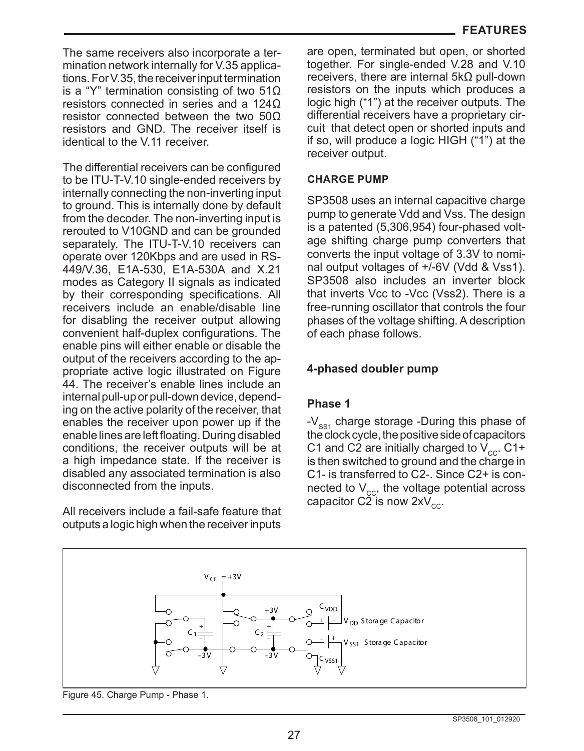The same receivers also incorporate a termination network internally for V.35 applications. For V.35, the receiver input termination is a "Y" termination consisting of two 51Ω resistors connected in series and a 124Ω resistor connected between the two 50Ω resistors and GND. The receiver itself is identical to the V.11 receiver.

The differential receivers can be configured to be ITU-T-V.10 single-ended receivers by internally connecting the non-inverting input to ground. This is internally done by default from the decoder. The non-inverting input is rerouted to V10GND and can be grounded separately. The ITU-T-V.10 receivers can operate over 120Kbps and are used in RS-449/V.36, E1A-530, E1A-530A and X.21 modes as Category II signals as indicated by their corresponding specifications. All receivers include an enable/disable line for disabling the receiver output allowing convenient half-duplex configurations. The enable pins will either enable or disable the output of the receivers according to the appropriate active logic illustrated on Figure 44. The receiver's enable lines include an internal pull-up or pull-down device, depending on the active polarity of the receiver, that enables the receiver upon power up if the enable lines are left floating. During disabled conditions, the receiver outputs will be at a high impedance state. If the receiver is disabled any associated termination is also disconnected from the inputs.

All receivers include a fail-safe feature that outputs a logic high when the receiver inputs

are open, terminated but open, or shorted together. For single-ended V.28 and V.10 receivers, there are internal 5kΩ pull-down resistors on the inputs which produces a logic high ("1") at the receiver outputs. The differential receivers have a proprietary circuit that detect open or shorted inputs and if so, will produce a logic HIGH ("1") at the receiver output.

### **CHARGE PUMP**

SP3508 uses an internal capacitive charge pump to generate Vdd and Vss. The design is a patented (5,306,954) four-phased voltage shifting charge pump converters that converts the input voltage of 3.3V to nominal output voltages of +/-6V (Vdd & Vss1). SP3508 also includes an inverter block that inverts Vcc to -Vcc (Vss2). There is a free-running oscillator that controls the four phases of the voltage shifting. A description of each phase follows.

# **4-phased doubler pump**

## **Phase 1**

- $V_{ss1}$  charge storage -During this phase of the clock cycle, the positive side of capacitors C1 and C2 are initially charged to  $V_{cc}$ . C1+ is then switched to ground and the charge in C1- is transferred to C2-. Since C2+ is connected to  $V_{cc}$ , the voltage potential across capacitor C2 is now  $2xV_{cc}$ .



Figure 45. Charge Pump - Phase 1.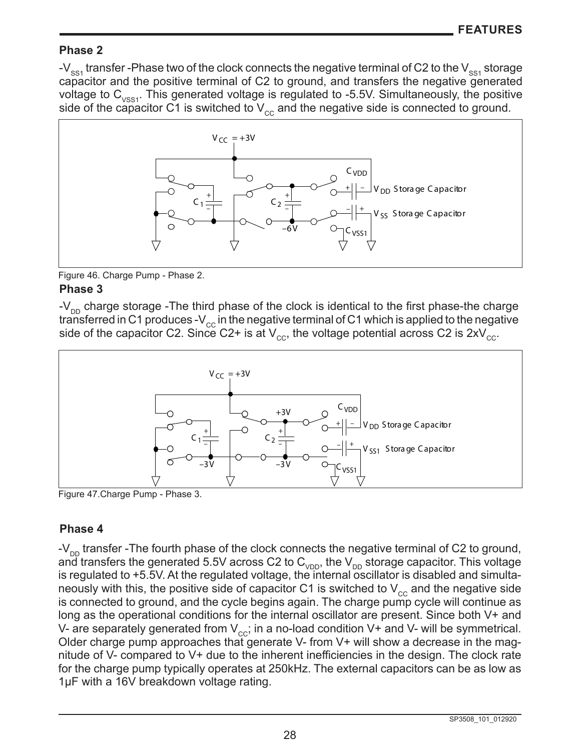## **Phase 2**

-V<sub>ss1</sub> transfer -Phase two of the clock connects the negative terminal of C2 to the V<sub>ss1</sub> storage capacitor and the positive terminal of C2 to ground, and transfers the negative generated voltage to  $C_{VSS1}$ . This generated voltage is regulated to -5.5V. Simultaneously, the positive side of the capacitor C1 is switched to  $V_{cc}$  and the negative side is connected to ground.



**Phase 3** Figure 46. Charge Pump - Phase 2.

 $-V_{DD}$  charge storage -The third phase of the clock is identical to the first phase-the charge transferred in C1 produces -V<sub>cc</sub> in the negative terminal of C1 which is applied to the negative side of the capacitor C2. Since C2+ is at  $V_{cc}$ , the voltage potential across C2 is  $2xV_{cc}$ .



Figure 47.Charge Pump - Phase 3.

# **Phase 4**

- $V_{\text{DD}}$  transfer -The fourth phase of the clock connects the negative terminal of C2 to ground, and transfers the generated 5.5V across C2 to  $C_{\text{VDD}}$ , the  $V_{\text{DD}}$  storage capacitor. This voltage is regulated to +5.5V. At the regulated voltage, the internal oscillator is disabled and simultaneously with this, the positive side of capacitor C1 is switched to  $V_{cc}$  and the negative side is connected to ground, and the cycle begins again. The charge pump cycle will continue as long as the operational conditions for the internal oscillator are present. Since both V+ and V- are separately generated from  $V_{\rm cc}$ ; in a no-load condition V+ and V- will be symmetrical. Older charge pump approaches that generate V- from V+ will show a decrease in the magnitude of V- compared to V+ due to the inherent inefficiencies in the design. The clock rate for the charge pump typically operates at 250kHz. The external capacitors can be as low as 1µF with a 16V breakdown voltage rating.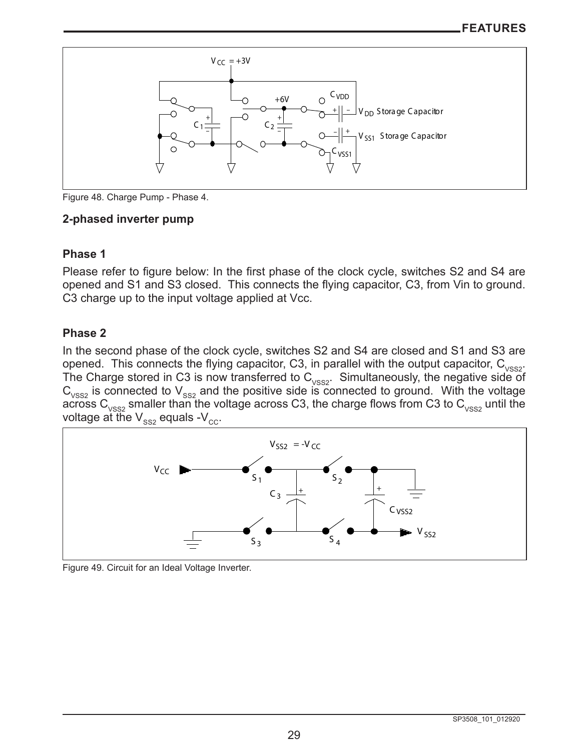

Figure 48. Charge Pump - Phase 4.

# **2-phased inverter pump**

# **Phase 1**

Please refer to figure below: In the first phase of the clock cycle, switches S2 and S4 are opened and S1 and S3 closed. This connects the flying capacitor, C3, from Vin to ground. C3 charge up to the input voltage applied at Vcc.

# **Phase 2**

In the second phase of the clock cycle, switches S2 and S4 are closed and S1 and S3 are opened. This connects the flying capacitor, C3, in parallel with the output capacitor,  $C_{VSS2}$ . The Charge stored in C3 is now transferred to  $C_{VSS2}$ . Simultaneously, the negative side of  $C_{vss2}$  is connected to  $V_{ss2}$  and the positive side is connected to ground. With the voltage across  $\textsf{C}_{\textsf{vss2}}$  smaller than the voltage across C3, the charge flows from C3 to  $\textsf{C}_{\textsf{vss2}}$  until the voltage at the  $\mathsf{V}_{\mathsf{ss2}}$  equals - $\mathsf{V}_{\mathsf{cc}}.$ 



Figure 49. Circuit for an Ideal Voltage Inverter.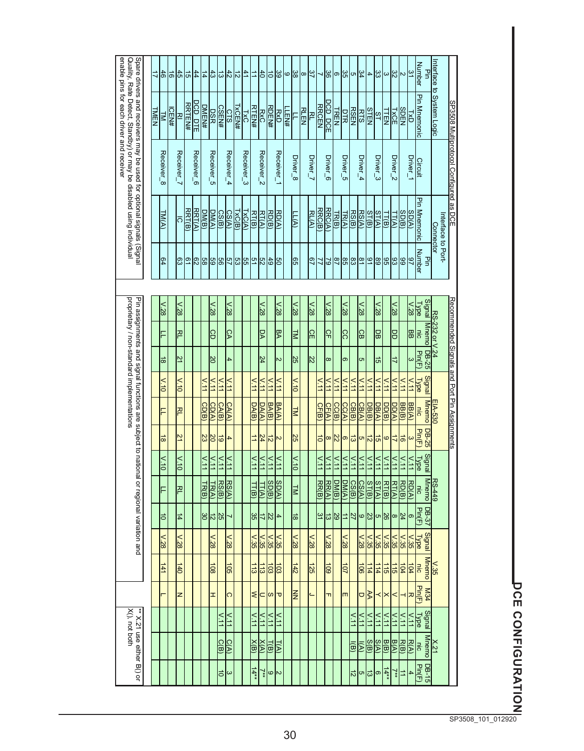| enable pins for each driver and receiver                                                                                                   |             | 1는                    | 1의           |                    |               | 415 원          | 」               | 1일                                   |                               | $rac{4}{5}$             | $rac{4}{5}$             | ニ                                 |                   | $\frac{1}{6}$       |                         | မ္တ $ \omega $ မ္တ | $\infty$                                 | $\frac{3}{7}$    | ⊣              | 36               | ြ               | ს გე                  | $\frac{34}{4}$                     | $\overline{\mathbf{4}}$ | 'జ¦జ                  |                                        | $\frac{32}{5}$   | ∣∾                   | $\frac{31}{2}$        | <b>Number</b>                          | Interface<br>Pin                       |                                              |
|--------------------------------------------------------------------------------------------------------------------------------------------|-------------|-----------------------|--------------|--------------------|---------------|----------------|-----------------|--------------------------------------|-------------------------------|-------------------------|-------------------------|-----------------------------------|-------------------|---------------------|-------------------------|--------------------|------------------------------------------|------------------|----------------|------------------|-----------------|-----------------------|------------------------------------|-------------------------|-----------------------|----------------------------------------|------------------|----------------------|-----------------------|----------------------------------------|----------------------------------------|----------------------------------------------|
|                                                                                                                                            | <b>TMEN</b> | $\overline{z}$        | <b>ICEN#</b> | 꼰                  | <b>RRTEN#</b> | <u>DCD DTE</u> | <b>DMEN#</b>    | <b>DSR</b>                           | <b>CSEN#</b>                  | <b>CTS</b>              | TXC<br>TXCEN#           | <b>RTEN#</b>                      | <b>RxC</b>        | RDEN#               | <b>RxD</b>              | LLEN#              | <b>RLEN</b>                              | 짇                | <b>RRCEN</b>   | <u>DCD_DCE</u>   | <b>TREN</b>     | <b>RSEN</b>           | <b>RTS</b>                         | <b>STEN</b>             | $\frac{51}{2}$        | <u>NSE</u><br>TIEN                     |                  | <b>SDEN</b>          | Lx<br>O               | <b>Pin Mnemonic</b>                    | to System Logic                        |                                              |
| Spare drivers and receivers may be used for optional signals (Signal<br>Quality, Rate Detect, Standby) or may be disabled using individual |             | Receiver_8            |              | Receiver_          |               | Receiver_6     |                 | Receiver_5                           |                               | Receiver_4              | Receiver_3              |                                   | Receiver_2        |                     | Receiver_1              | Driver_8           |                                          | Driver_7         |                | Driver_6         |                 | Driver_5              | Driver_4                           |                         | Driver_3              |                                        | Driver_2         |                      | Driver_1              | Circuit                                |                                        | SP3508 Multiprotocol Configured as DCE       |
|                                                                                                                                            |             | <b>TM(A)</b>          |              | $\overline{\circ}$ | RRT(B)        | RRT(A)         | DM(B)           | DM(A)                                | CS(B)                         | CS(A)                   | <b>TXC(A)</b><br>TXC(B) | RT(B)                             | RT(A)             | RD(B)               | RD(A)                   |                    | $\underline{\overline{\Pi}}(\mathbb{A})$ | $rac{R(A)}{R}$   | RRC(B)         | RRC(A)           | TR(B)           | $\frac{RS(B)}{TR(A)}$ | RST(A)                             | ST(B)                   | $\frac{11(B)}{ST(A)}$ |                                        | IT(A)            | SO(B)                | SO(A)                 | <b>Pin Mnemonic</b>                    | Interface to Port-<br><b>Connector</b> |                                              |
|                                                                                                                                            |             | စ္စ                   |              |                    |               |                | အခြင်းဖြင့      |                                      |                               |                         | 의하여지없이                  |                                   |                   |                     |                         |                    | ခြွ                                      | 29               |                |                  |                 |                       | 의있않않다                              | $\frac{31}{2}$          |                       | ၛၟႜႜႜႜႜႜႜႜႜႜႜႜႜႜႜႜႜ                    |                  | ၂၆                   | s                     | <b>Number</b><br>굏                     |                                        |                                              |
|                                                                                                                                            |             | $\frac{1}{85}$        |              | $\frac{1}{28}$     |               |                |                 | $\frac{1}{85}$                       |                               | v.28                    |                         |                                   | $\frac{1}{85}$    |                     | $v_{.28}$               |                    | $\frac{1}{28}$                           | $\frac{1.28}{2}$ |                | $128$            |                 | $\times 128$          | $\times$                           |                         | $128$                 |                                        | $128$            |                      | $\frac{1.28}{2}$      | <b>Type</b>                            |                                        |                                              |
| proprietary / non-standard implementations<br>Pin assignments and signal functions are subject to national or regional variation and       |             | F                     |              | RL                 |               |                |                 | ခြ                                   |                               | <b>CA</b>               |                         |                                   | Ρ                 |                     | BA                      |                    | TM                                       | 읾                |                | ငှ $\frac{1}{2}$ |                 | ငြ                    | 9                                  |                         | 밂                     |                                        | 밍                |                      | <b>BB</b>             | Signal Mnemo<br>$\frac{1}{2}$          | RS-232 or V.24                         | Recommended Signals and Port Pin Assignments |
|                                                                                                                                            |             | ∣≈                    |              | 21                 |               |                |                 | $\overline{\widetilde{\varepsilon}}$ |                               | $\overline{\mathbf{4}}$ |                         |                                   | 24                |                     | N                       |                    | SS <sub>1</sub>                          | $\frac{22}{2}$   |                | $\infty$         |                 | တ                     | თ                                  |                         | 능                     |                                        | ₹                |                      | $\omega$              | $92-80$<br>Pin(F)                      |                                        |                                              |
|                                                                                                                                            |             | $\frac{1}{10}$        |              | $\sqrt{.10}$       |               |                | $\frac{11}{11}$ | $\frac{11}{11}$                      | V.11                          | $\frac{11}{11}$         |                         | $\times$                          | $\frac{11}{11}$   | $\leq$              | $\frac{11}{11}$         |                    | $\times 10$                              |                  | V.11           | $\times$ 11      | $\frac{11}{11}$ | $\frac{11}{11}$       | $\geq$<br>V.11                     | $\frac{11}{11}$         | $\sqrt{11}$           | $\geq$                                 | $\frac{111}{11}$ | $\leq$               | V.11                  | <b>Signal</b><br>Type                  |                                        |                                              |
|                                                                                                                                            |             | F                     |              | RL                 |               |                | CD(B)           | CD(A)                                | CAC(B)                        | CA(A)                   |                         | DA(B)                             | DA(A)             | <b>BA(B)</b>        | <b>BA(A)</b>            |                    | $\frac{1}{2}$                            |                  | CF(B)          | CF(A)            | CC(B)           | <b>CC(A)</b>          | CB(B)<br>CB(A)                     | DB(B)                   | $\overline{DB(A)}$    | <u>DD(B)</u>                           | DD(A)            | <b>BB(B)</b>         | $\underline{BB(A)}$   | <b>Mnemo</b><br>nic                    | EIA-530                                |                                              |
|                                                                                                                                            |             | ಹ                     |              | 21                 |               |                | 히의없             |                                      |                               | $\overline{\mathbf{4}}$ |                         | $\overrightarrow{=}$              | $\frac{24}{3}$    | $\frac{12}{2}$      | $\overline{\mathsf{c}}$ |                    | 25                                       |                  | $\overline{5}$ | $\infty$         | $\mathbb{Z}$    | ∞ ఙ                   | თ                                  | $\frac{1}{2}$           | 능                     | $\overline{6}$                         | $\overline{z}$   | $\overrightarrow{5}$ | $\omega$              | Pin(F)<br><b>DB-25</b>                 |                                        |                                              |
|                                                                                                                                            |             | $\frac{1}{\sqrt{11}}$ |              | V.10               |               |                | V.11            | $\times$                             | $\frac{1}{2}$                 | V.11                    |                         | $\times$ 11                       | $\frac{11}{11}$   | $\frac{11}{11}$     | V.11                    |                    | $\frac{1}{10}$                           |                  | $\times$       | $\times$         | $\frac{11}{11}$ | $\sqrt{111}$          | $\times$<br>$\frac{11}{11}$        | $\frac{1}{11}$          | $\times$              | $\frac{1}{2}$                          | $\frac{1}{11}$   | $\geq$               | $\frac{11}{11}$       | Signal<br><b>Type</b>                  |                                        |                                              |
|                                                                                                                                            |             |                       |              | 직                  |               |                | <u>TR(B)</u>    | $\frac{1}{2}$                        | <b>RS(B)</b>                  | RSC(A)                  |                         | <u>TT(B)</u>                      | $\frac{1}{11(A)}$ | SO(B)               | SO(A)                   |                    | $\leq$                                   |                  | <b>RR(B)</b>   | $RR(A)$          | DM(B)           | DM(A)                 | CS(B)<br>CS(A)                     | ST(B)                   | ST(A)                 | RT(B)                                  | RT(A)            | $rac{R}{R}$          | RO(A)                 | <b>Mnemo</b><br>inc                    | $R = 449$                              |                                              |
|                                                                                                                                            |             | $\overline{0}$        |              | $\frac{1}{4}$      |               |                | 심의              |                                      | $\frac{25}{2}$                | ↘                       |                         | 35                                | ド                 | $\frac{22}{2}$      | $\overline{4}$          |                    | $\frac{1}{8}$                            |                  |                | $\frac{25}{9}$   |                 | ∣≐                    | $\frac{5}{2}$                      | $\frac{23}{2}$          | တ $ \omega _2$        |                                        | ∣∞               | $\frac{24}{3}$       | တ                     | <b>DB-37</b><br><b>Pin(F)</b>          |                                        |                                              |
|                                                                                                                                            |             | $\frac{1}{28}$        |              | v.28               |               |                |                 | $\frac{1.28}{2}$                     |                               | v.28                    |                         | V.35                              |                   | $\frac{1.35}{1.35}$ | $\frac{55}{25}$         |                    | $128$                                    | $\frac{1.28}{8}$ |                | $\sqrt{.28}$     |                 | $\frac{1.28}{8}$      | $\times$                           | $v_{.35}$               | $\times\frac{1}{25}$  |                                        | $\frac{1}{35}$   | $\frac{1.35}{1.35}$  |                       | <b>Signal</b><br>Type                  |                                        |                                              |
|                                                                                                                                            |             | $\frac{141}{2}$       |              | $\frac{140}{2}$    |               |                |                 | $\frac{108}{2}$                      |                               | $\frac{105}{2}$         |                         | $\frac{113}{2}$                   | $\frac{113}{2}$   | $\frac{15}{25}$     |                         |                    | $\frac{142}{2}$                          | $\frac{125}{2}$  |                | $\frac{100}{2}$  |                 | $\frac{107}{2}$       | $\frac{100}{2}$                    | $\frac{114}{1}$         |                       |                                        |                  | 회회원별                 |                       | <b>Mnemo</b><br>lie:                   | $\times$                               |                                              |
|                                                                                                                                            |             |                       |              | z                  |               |                |                 | I                                    |                               | ဂ                       |                         |                                   | ד ∞∣⊃ ≽           |                     |                         |                    | E                                        |                  |                | $\mathbf \pi$    |                 | m                     | lо                                 | ≩                       |                       | ≺l×                                    | $\,<$            |                      | ∣ಸ                    | M34<br>Pin(F)                          |                                        |                                              |
| X(), not both                                                                                                                              |             |                       |              |                    |               |                |                 |                                      | $V$ .11                       | V.11                    |                         | $\overline{111}$                  | $\frac{1}{11}$    | V11                 | $\frac{1}{11}$          |                    |                                          |                  |                |                  |                 |                       | $\frac{11}{11}$<br>$\frac{1}{2}$   | $\frac{11}{11}$         | $\frac{111}{111}$     |                                        | $\frac{1}{11}$   | $\frac{1}{2}$        | $\frac{1}{11}$        | <b>Signal</b><br><b>Type</b>           |                                        |                                              |
| ** X.21 use either B() or                                                                                                                  |             |                       |              |                    |               |                |                 |                                      | <u>CCB)</u><br>$\overline{5}$ | CA)<br> ယ               |                         | $\times$ (B)<br>$\frac{14**}{14}$ | XA                | $rac{1}{10}$<br>৸ৢ৸ |                         |                    |                                          |                  |                |                  |                 |                       | 同<br>ला<br> ე $\frac{1}{\sqrt{2}}$ | S(B)<br>님               | S(A)<br> တ            | $\frac{B(B)}{B}$<br>$\frac{7**}{14**}$ | $\frac{B(A)}{B}$ | <b>R</b><br>∣≐       | RA)<br>$\overline{4}$ | <b>Mnemo</b><br>lä.<br>DB-15<br>Pin(F) | $\times 21$                            |                                              |

**DCE CONFIGURATION**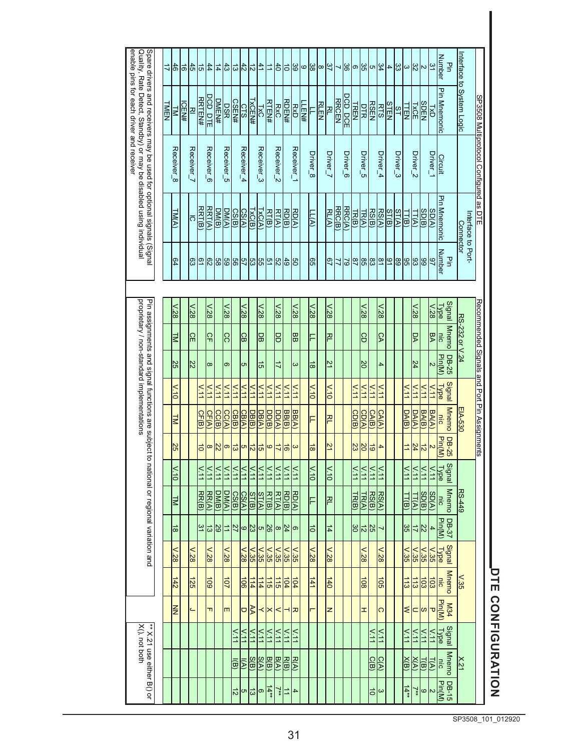| enable pins for each driver and receiver                                                                                                   |             | 하                                    | $\overline{\overline{6}}$ |                              | $4 5 $ \$                       | $\frac{1}{4}$  | $\frac{43}{2}$ | <u> 역위</u> 의    |                              |                   | $\frac{41}{2}$        |                               |                       | 이의위디                                |                           | ဖ                    | 'జ                  | $\frac{37}{2}$<br>$\infty$ |              | ္တ<br>⊣        | $\circ$                       | 35                       | თ                 | $\frac{1}{2}$<br>4   | ယ္တ           | $\omega$           | $\frac{32}{5}$        | N                     | ین                      | <b>Number</b><br>꽇             | nterface                        |                                              |
|--------------------------------------------------------------------------------------------------------------------------------------------|-------------|--------------------------------------|---------------------------|------------------------------|---------------------------------|----------------|----------------|-----------------|------------------------------|-------------------|-----------------------|-------------------------------|-----------------------|-------------------------------------|---------------------------|----------------------|---------------------|----------------------------|--------------|----------------|-------------------------------|--------------------------|-------------------|----------------------|---------------|--------------------|-----------------------|-----------------------|-------------------------|--------------------------------|---------------------------------|----------------------------------------------|
| Spare drivers and receivers may be used for optional signals (Signal<br>Quality, Rate Detect, Standby) or may be disabled using individual | <b>TMEN</b> | k                                    | <b>ICEN#</b>              | 꼰                            | <u>DCD DTE</u><br><b>RRTEN#</b> | <b>DMEN#</b>   | <b>DSR</b>     | <b>CSEN#</b>    | <b>CTS</b>                   | TXC<br>TXCEN#     |                       | <b>RTEN#</b>                  | <b>RxC</b>            | RDEN#                               | RXD                       | LEN#                 |                     | <b>RLEN</b><br>꼰           | <b>RRCEN</b> | <u>DCD DCE</u> | TREN                          | DTR                      | <b>RTS</b>        | <b>STEN</b>          | $\frac{1}{2}$ | LTEN               | <b>IXCE</b>           | <b>SDEN</b>           | 74<br>DXI               | <b>Pin Mnemonic</b>            | to System Logic                 |                                              |
|                                                                                                                                            |             | Receiver_8                           |                           | Receiver_7                   | Receiver_6                      |                | Receiver_5     |                 | Receiver_4                   |                   | Receiver_3            |                               | Receiver_2            |                                     | Receiver_1                | Driver_8             |                     | Driver_7                   |              | Driver_6       |                               | Driver_5                 | Driver_4          |                      | Driver_3      |                    | Driver_2              |                       | Driver_1                | <b>Circuit</b>                 |                                 | SP3508 Multiprotocol Configured as DTE       |
|                                                                                                                                            |             | <b>TM(A)</b>                         |                           | ō                            | RRT(A)<br>RRT(B)                | DM(B)          | DM(A)          | CS(B)           | CS(A)                        | TxC(B)            | TXC(A)                | RT(B)                         | RT(A)                 | RD(B)                               | BQ<br>S                   | $\frac{1}{\sqrt{2}}$ |                     | <b>RL(A)</b>               | RRC(B)       | RRC(A)         | TR(B)                         | TR(A)                    | RSC(B)            | RST(A)<br>ST(B)      | ST(A)         | П(B)               | IT(A)                 | SD(B)                 | SD(A)                   | Pin Mnemonic                   | Interface to Port-<br>Connector |                                              |
|                                                                                                                                            |             | တွ                                   |                           |                              | 명하여 이 이 이 이 이 이 이 이 이 이 이 있다.   |                |                |                 |                              |                   |                       |                               |                       |                                     |                           |                      | 65                  |                            |              |                |                               |                          | 의직의잉임원디의          |                      | 89            |                    |                       |                       | -27                     | <b>Number</b><br>굏             |                                 |                                              |
|                                                                                                                                            |             |                                      |                           |                              |                                 |                |                |                 |                              |                   |                       |                               |                       |                                     |                           |                      |                     |                            |              |                |                               |                          |                   |                      |               |                    |                       |                       |                         |                                |                                 |                                              |
| proprietary / non-standard implementations<br>Pin assignments and signal functions are subject to national or regional variation ar        |             | $\frac{1}{28}$<br>k                  |                           | $\frac{1.28}{\sqrt{2}}$<br>읾 | $\times 128$<br>유               |                | v.28<br>CC     |                 | $\frac{1}{28}$<br>9          |                   | $\frac{1.28}{1}$<br>읾 |                               | $\frac{1.28}{2}$<br>밍 |                                     | $\sqrt{.28}$<br><b>BB</b> |                      | $\frac{1}{85}$<br>F | $128$<br>직                 |              |                |                               | $v_{.28}$<br>Sp          |                   | $\frac{1}{85}$<br> ୃ |               |                    | $\frac{1.28}{1}$<br>β |                       | $128$<br>yg             | Signal<br>Type<br>Mnemo<br>nic | RS-232 or V.24                  | Recommended Signals and Port Pin Assignments |
|                                                                                                                                            |             | 55                                   |                           | 22                           | $\infty$                        |                | σ              |                 | Įсл                          |                   | 능                     |                               | ミ                     |                                     | ω                         |                      | $\frac{1}{8}$       | 21                         |              |                |                               | $\overline{50}$          |                   | 4                    |               |                    | 24                    |                       | N                       | DB-25<br>Pin(M)                |                                 |                                              |
|                                                                                                                                            |             | $\frac{1}{\sqrt{10}}$                |                           |                              | $\times$<br>$\times$ 11         | $\times$ 11    | V.11           | $\times$        | $\times$ 11                  | $\geq$            | V.11                  | $\frac{111}{11}$              | $\times$              | $\times$                            | $\times$ 11               |                      | $\frac{1}{10}$      | $\frac{1}{10}$             |              |                | $\times$ 11                   | $\frac{11}{11}$          | $\times$ 11       | $\times$             |               | $\overline{V}$ .11 | V.11                  | $\times$              | $\times$                | Signal<br><b>Type</b>          |                                 |                                              |
|                                                                                                                                            |             | E                                    |                           |                              | CF(B)<br>CF(A)                  | CC(B)          | CC(A)          | CB(B)           | CB(A)                        | <u>DB(B)</u>      | DB(A)                 | <u>DD(B)</u>                  | DD(A)                 | $\frac{\text{BB(A)}}{\text{BB(B)}}$ |                           |                      | ╒                   | 직                          |              |                | CD(B)                         | CD(A)                    | CAC(B)            | CA(A)                |               | DA(B)              | <b>DA(A)</b>          | BA(B)                 | <b>BA(A)</b>            | <b>Mnemo</b><br>nic            | EIA-530                         |                                              |
|                                                                                                                                            |             | $\frac{25}{2}$                       |                           |                              | $\overline{5}$<br>∣∞            | $\overline{z}$ | $\circ$        | ಎ               | Įсп                          | 히의                |                       | ဖ                             | ド                     | $\frac{1}{6}$                       | $\omega$                  |                      | $\frac{1}{8}$       | 21                         |              |                | 23                            | $\overline{\mathcal{S}}$ | 능                 | 4                    |               | $\Rightarrow$      | 24                    | $\vec{z}$             | $\breve{ }$             | DB-25<br>Pin(M)                |                                 |                                              |
|                                                                                                                                            |             | $\frac{1}{\sqrt{1}}$                 |                           |                              | $\times$ .11<br>$\times$        | $\frac{1}{11}$ | V.11           | $\times$        | $\times$ 11                  | V.11              | $\frac{1}{2}$         | $\frac{1}{2}$                 | $\frac{111}{11}$      | $\times$ 11                         | $\times$                  |                      | $\frac{1}{10}$      | $\times10$                 |              |                | $\frac{11}{11}$               | $\frac{1}{11}$           | $\overline{N.11}$ | V.11                 |               | V.11               | $\times$ 11           | $\times$              | $\frac{1}{11}$          | Signal<br><b>Type</b>          |                                 |                                              |
|                                                                                                                                            |             | ē                                    |                           |                              | RR(B)<br>RR(A)                  | DM(B)          | DM(A)          | CS(B)           | CS(A)                        | ST(B)             | ST(A)                 | RT(B)                         | RT(A)                 | <u>RD(B)</u>                        | <b>RD(A)</b>              |                      | F                   | 직                          |              |                | $\frac{\text{TR}}{\text{TR}}$ | TR(A)                    | RSC(B)            | RSC(A)               |               | TT(B)              | IT(A)                 | $\frac{SD(B)}{SD(B)}$ | <b>SD(A)</b>            | <b>Mnemo</b><br>nic            | $RS-449$                        |                                              |
|                                                                                                                                            |             | ∞                                    |                           |                              | 31<br>は                         | 29             | ⊨              | 이지              |                              | 23                | G                     | အ                             | $\infty$              | 24                                  | ၜ                         |                      | ਠੋ                  | $\frac{1}{4}$              |              |                |                               | $rac{12}{30}$            | $\frac{25}{2}$    | ⊣                    |               | 35                 | ド                     | $\mathbb{Z}$          | $\overline{4}$          | DB-37<br>Pin(M)                |                                 |                                              |
|                                                                                                                                            |             | $\frac{1}{85}$                       |                           | $\frac{1}{85}$               | $\frac{1}{85}$                  |                | $\frac{1}{85}$ |                 | $\frac{25}{36}$              |                   |                       |                               | $v_{.35}$             | $v_{.35}$                           | $\times 35$               |                      | $\frac{1}{85}$      | $\frac{1}{28}$             |              |                |                               | $\frac{1}{85}$           |                   | $\frac{1}{28}$       |               | $v_{.35}$          | $\times 35$           | $v_{.35}$             | $v_{.35}$               | <b>Signal</b><br><b>Type</b>   |                                 |                                              |
| ಕ್ಕ                                                                                                                                        |             | $\frac{142}{2}$                      |                           | $\frac{125}{25}$             | $\frac{100}{\pi}$               |                | 107            |                 | $\frac{106}{3}$              | 114               | $\frac{114}{1}$       | $\frac{115}{2}$               | $\frac{115}{2}$       | $rac{1}{2}$                         |                           |                      | $\frac{141}{2}$     | $\frac{140}{2}$            |              |                |                               | $\frac{108}{1}$          |                   | $\frac{105}{2}$      |               | $\frac{113}{}$     | $\frac{113}{2}$       | $\frac{1}{3}$         |                         | Mnemo                          | $\times$ 35                     |                                              |
|                                                                                                                                            |             | $\overline{\overline{\overline{z}}}$ |                           | ے                            | TT.                             |                | m              |                 | $\overline{\mathsf{P}}$      |                   |                       | $\vert x \vert \vert x \vert$ |                       |                                     | ᆽ                         |                      |                     | z                          |              |                |                               | Ŧ                        |                   | $\circ$              |               | ∣                  | ∣⊂                    | ო $\vert$ ო           |                         | M34<br>Pin(M)                  |                                 |                                              |
| X(), not both                                                                                                                              |             |                                      |                           |                              |                                 |                |                | $\frac{11}{11}$ | $\overline{v}$ <sub>11</sub> | $\sqrt{11}$       | V.11                  | $\frac{1}{11}$                | $\frac{1}{11}$        | V.11                                | $\frac{11}{11}$           |                      |                     |                            |              |                |                               |                          | $\times$          | $\times$ 11          |               | $\sqrt{11}$        | V.11                  | V.11                  | V.11                    | Signal<br>$\frac{1}{\sqrt{1}}$ |                                 |                                              |
| ** X.21 use either B() or                                                                                                                  |             |                                      |                           |                              |                                 |                |                | 同               | $\overline{\mathbb{R}}$      | $rac{S(B)}{S(B)}$ | $\frac{S(A)}{S}$      | $\frac{B(B)}{B}$              | <b>B(A)</b>           | <b>R(B)</b>                         | <b>RA</b>                 |                      |                     |                            |              |                |                               |                          | $rac{d(x)}{d(x)}$ |                      |               | $\times$ (B)       | XA                    | <u>T(B)</u>           | $\overline{\mathbb{F}}$ | Mnemo<br>ls.                   | $\times 21$                     |                                              |
|                                                                                                                                            |             |                                      |                           |                              |                                 |                |                | 이디              |                              | $\frac{1}{2}$     | တ                     | $\frac{14**}{1}$              |                       | $rac{1}{\sqrt{1+x}}$                | $\overline{\phantom{a}}$  |                      |                     |                            |              |                |                               |                          | $\frac{1}{2}$     | $\infty$             |               | $14**$             | $\overline{7}$        | $\circ$               | $\overline{c}$          | $\frac{DB-15}{Pin(M)}$         |                                 |                                              |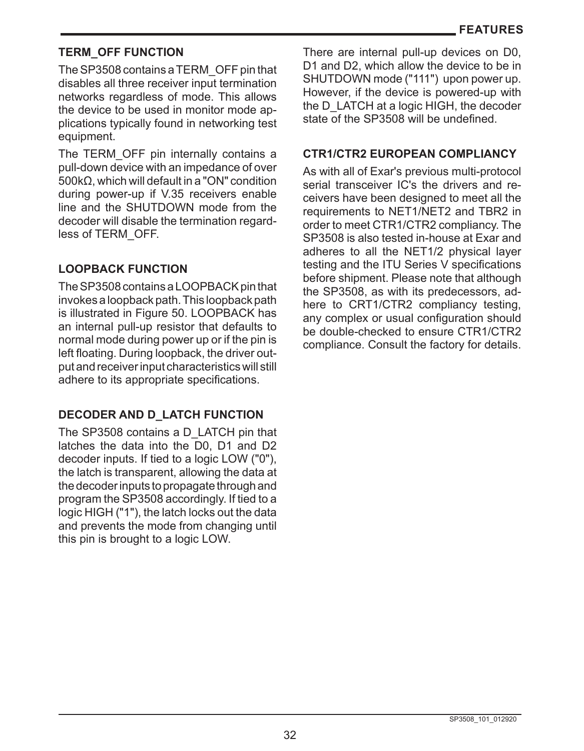# **TERM\_OFF FUNCTION**

The SP3508 contains a TERM\_OFF pin that disables all three receiver input termination networks regardless of mode. This allows the device to be used in monitor mode applications typically found in networking test equipment.

The TERM\_OFF pin internally contains a pull-down device with an impedance of over 500kΩ, which will default in a "ON" condition during power-up if V.35 receivers enable line and the SHUTDOWN mode from the decoder will disable the termination regardless of TERM\_OFF.

# **LOOPBACK FUNCTION**

The SP3508 contains a LOOPBACK pin that invokes a loopback path. This loopback path is illustrated in Figure 50. LOOPBACK has an internal pull-up resistor that defaults to normal mode during power up or if the pin is left floating. During loopback, the driver output and receiver input characteristics will still adhere to its appropriate specifications.

# **DECODER AND D\_LATCH FUNCTION**

The SP3508 contains a D\_LATCH pin that latches the data into the D0, D1 and D2 decoder inputs. If tied to a logic LOW ("0"), the latch is transparent, allowing the data at the decoder inputs to propagate through and program the SP3508 accordingly. If tied to a logic HIGH ("1"), the latch locks out the data and prevents the mode from changing until this pin is brought to a logic LOW.

There are internal pull-up devices on D0, D<sub>1</sub> and D<sub>2</sub>, which allow the device to be in SHUTDOWN mode ("111") upon power up. However, if the device is powered-up with the D\_LATCH at a logic HIGH, the decoder state of the SP3508 will be undefined.

# **CTR1/CTR2 EUROPEAN COMPLIANCY**

As with all of Exar's previous multi-protocol serial transceiver IC's the drivers and receivers have been designed to meet all the requirements to NET1/NET2 and TBR2 in order to meet CTR1/CTR2 compliancy. The SP3508 is also tested in-house at Exar and adheres to all the NET1/2 physical layer testing and the ITU Series V specifications before shipment. Please note that although the SP3508, as with its predecessors, adhere to CRT1/CTR2 compliancy testing, any complex or usual configuration should be double-checked to ensure CTR1/CTR2 compliance. Consult the factory for details.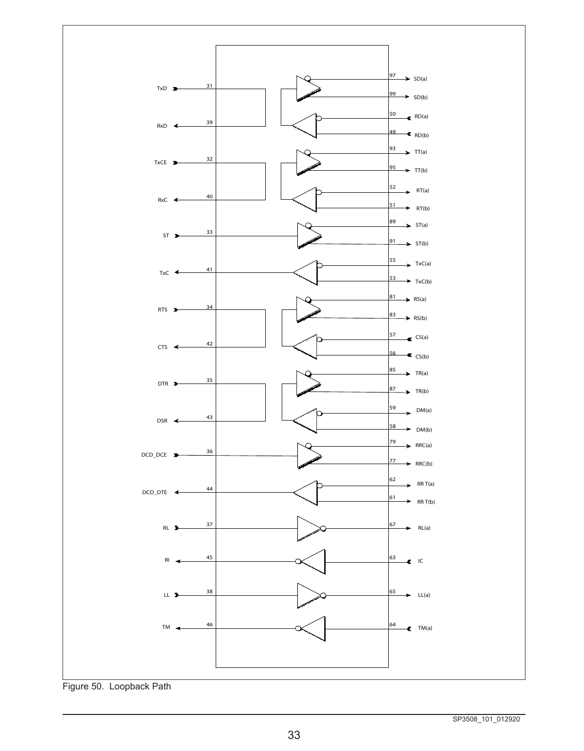

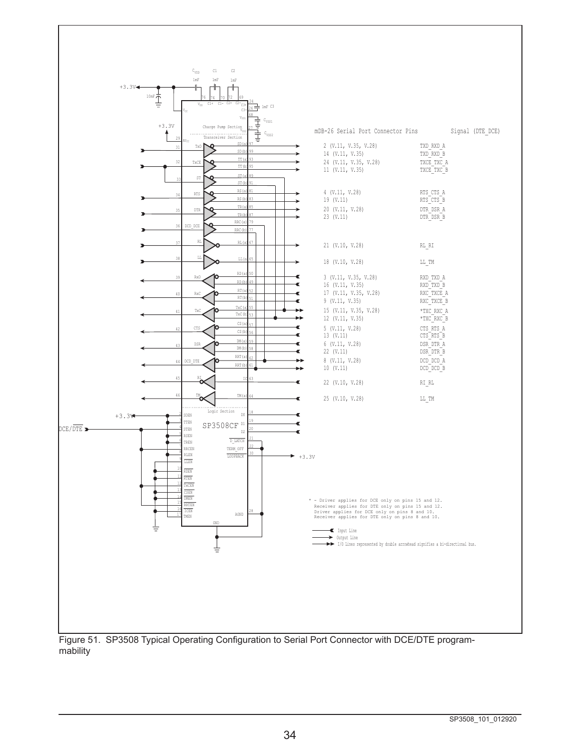

mability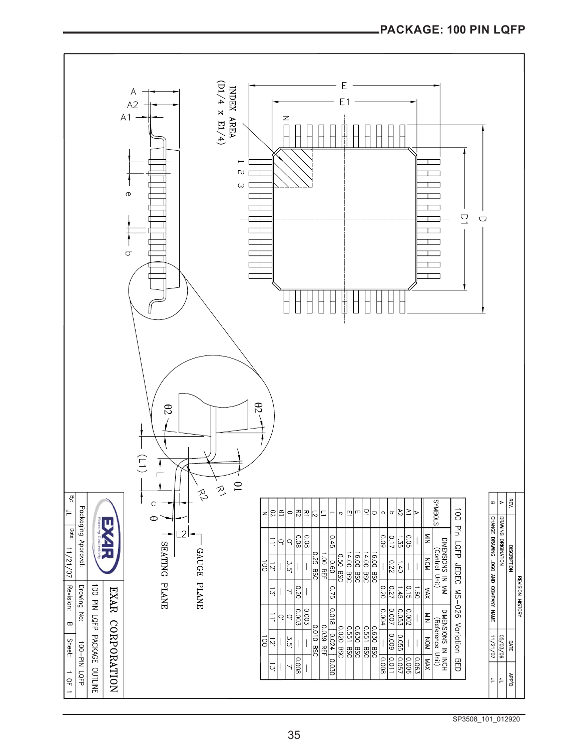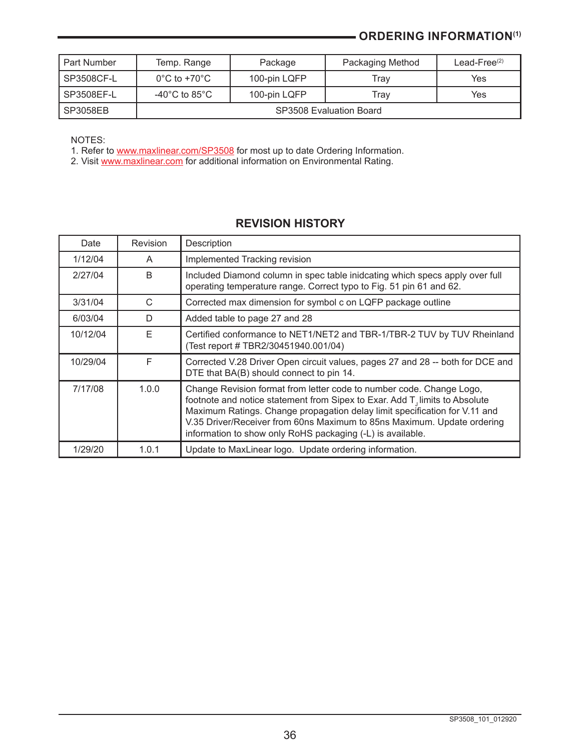# **- ORDERING INFORMATION(1)**

| r Part Number | Temp. Range                         | Package      | Packaging Method        | Lead-Free $(2)$ |
|---------------|-------------------------------------|--------------|-------------------------|-----------------|
| I SP3508CF-L  | $0^{\circ}$ C to +70 $^{\circ}$ C   | 100-pin LQFP | Trav                    | Yes             |
| l SP3508EF-L  | -40 $^{\circ}$ C to 85 $^{\circ}$ C | 100-pin LQFP | Trav                    | Yes             |
| SP3058EB      |                                     |              | SP3508 Evaluation Board |                 |

NOTES:

1. Refer to <u>[www.maxlinear.com/SP35](http://www.maxlinear.com/SP3508)08</u> for most up to date Ordering Information.

2. Visit <u>www.maxlinear.com</u> for additional information on Environmental Rating.

# **REVISION HISTORY**

| Date     | Revision | Description                                                                                                                                                                                                                                                                                                                                                                |
|----------|----------|----------------------------------------------------------------------------------------------------------------------------------------------------------------------------------------------------------------------------------------------------------------------------------------------------------------------------------------------------------------------------|
| 1/12/04  | A        | Implemented Tracking revision                                                                                                                                                                                                                                                                                                                                              |
| 2/27/04  | R        | Included Diamond column in spec table inideating which specs apply over full<br>operating temperature range. Correct typo to Fig. 51 pin 61 and 62.                                                                                                                                                                                                                        |
| 3/31/04  | C        | Corrected max dimension for symbol c on LQFP package outline                                                                                                                                                                                                                                                                                                               |
| 6/03/04  | D        | Added table to page 27 and 28                                                                                                                                                                                                                                                                                                                                              |
| 10/12/04 | F        | Certified conformance to NET1/NET2 and TBR-1/TBR-2 TUV by TUV Rheinland<br>(Test report # TBR2/30451940.001/04)                                                                                                                                                                                                                                                            |
| 10/29/04 | F        | Corrected V.28 Driver Open circuit values, pages 27 and 28 -- both for DCE and<br>DTE that BA(B) should connect to pin 14.                                                                                                                                                                                                                                                 |
| 7/17/08  | 1.0.0    | Change Revision format from letter code to number code. Change Logo,<br>footnote and notice statement from Sipex to Exar. Add T, limits to Absolute<br>Maximum Ratings. Change propagation delay limit specification for V.11 and<br>V.35 Driver/Receiver from 60ns Maximum to 85ns Maximum. Update ordering<br>information to show only RoHS packaging (-L) is available. |
| 1/29/20  | 1.0.1    | Update to MaxLinear logo. Update ordering information.                                                                                                                                                                                                                                                                                                                     |